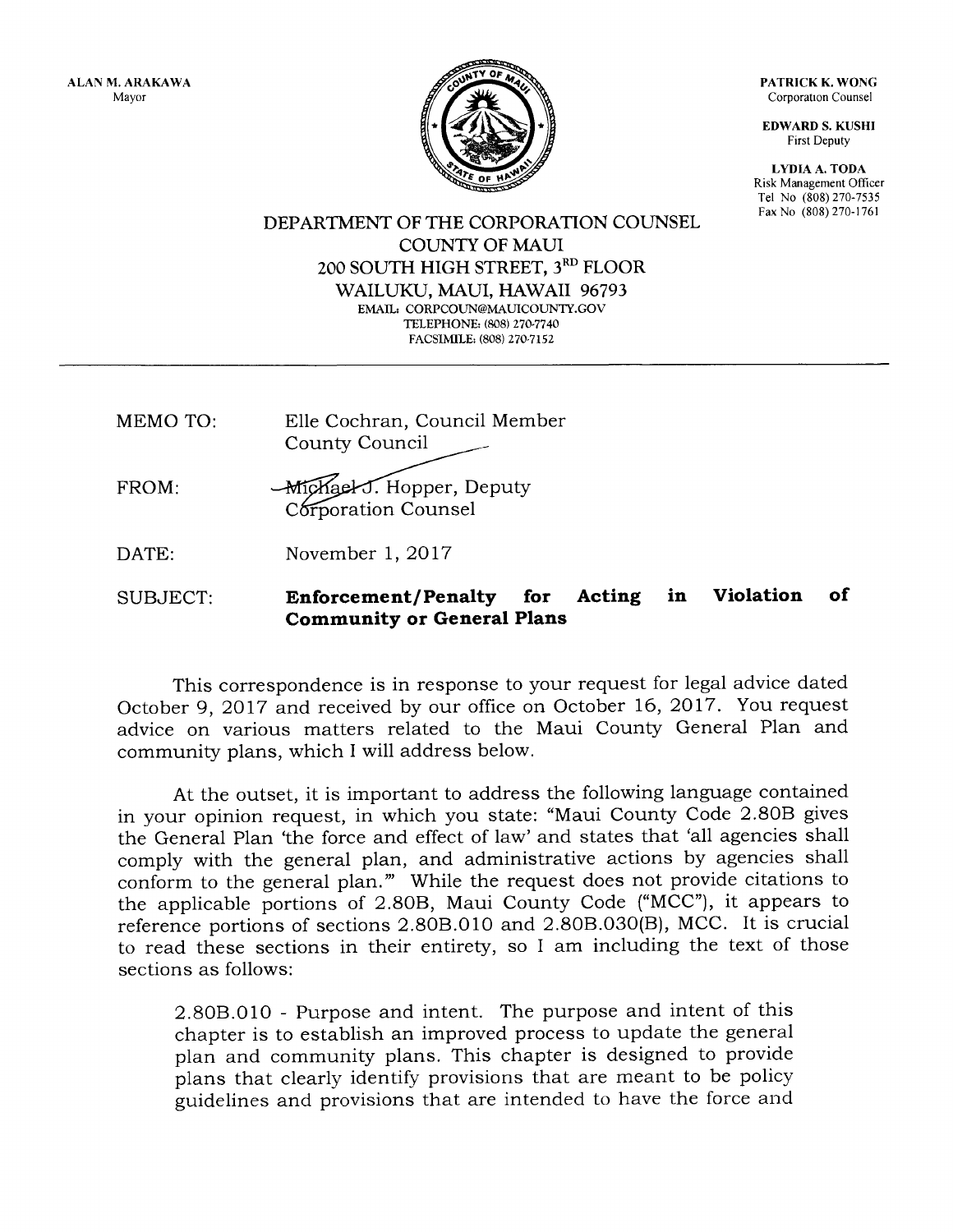ALAN M. ARAKAWA Mayor

PATRICK K. WONG Corporation Counsel

**EDWARD S. KUSHI** First Deputy

LYDIA A. TODA Risk Management Officer Tel No (808) 270-7535 Fax No (808) 270-1761



DEPARTMENT OF THE CORPORATION COUNSEL **COUNTY OF MAUI** 200 SOUTH HIGH STREET, 3RD FLOOR WAILUKU, MAUI, HAWAII 96793 EMAIL: CORPCOUN@MAUICOUNTY.GOV TELEPHONE: (808) 270-7740 FACSIMILE: (808) 270-7152

- MEMO TO: Elle Cochran, Council Member County Council
- FROM: **Michael J. Hopper, Deputy** Corporation Counsel

DATE: November 1, 2017

# SUBJECT: Enforcement/Penalty for Acting in Violation of Community or General Plans

This correspondence is in response to your request for legal advice dated October 9,2017 and received by our office on October 16,2017. You request advice on various matters related to the Maui County General PIan and community plans, which I will address below.

At the outset, it is important to address the following language contained in your opinion request, in which you state: "Maui County Code 2.808 gives the General Plan 'the force and effect of law' and states that 'all agencies shall comply with the general plan, and administrative actions by agencies shall conform to the general plan."' While the request does not provide citations to the applicable portions of 2.808, Maui County Code ("MCC"), it appears to reference portions of sections 2.808.010 and 2.808.030(B), MCC. It is crucial to read these sections in their entirety, so I am including the text of those sections as follows:

2.808.010 - Purpose and intent. The purpose and intent of this chapter is to establish an improved process to update the general plan and community plans. This chapter is designed to provide plans that clearly identify provisions that are meant to be policy guidelines and provisions that are intended to have the force and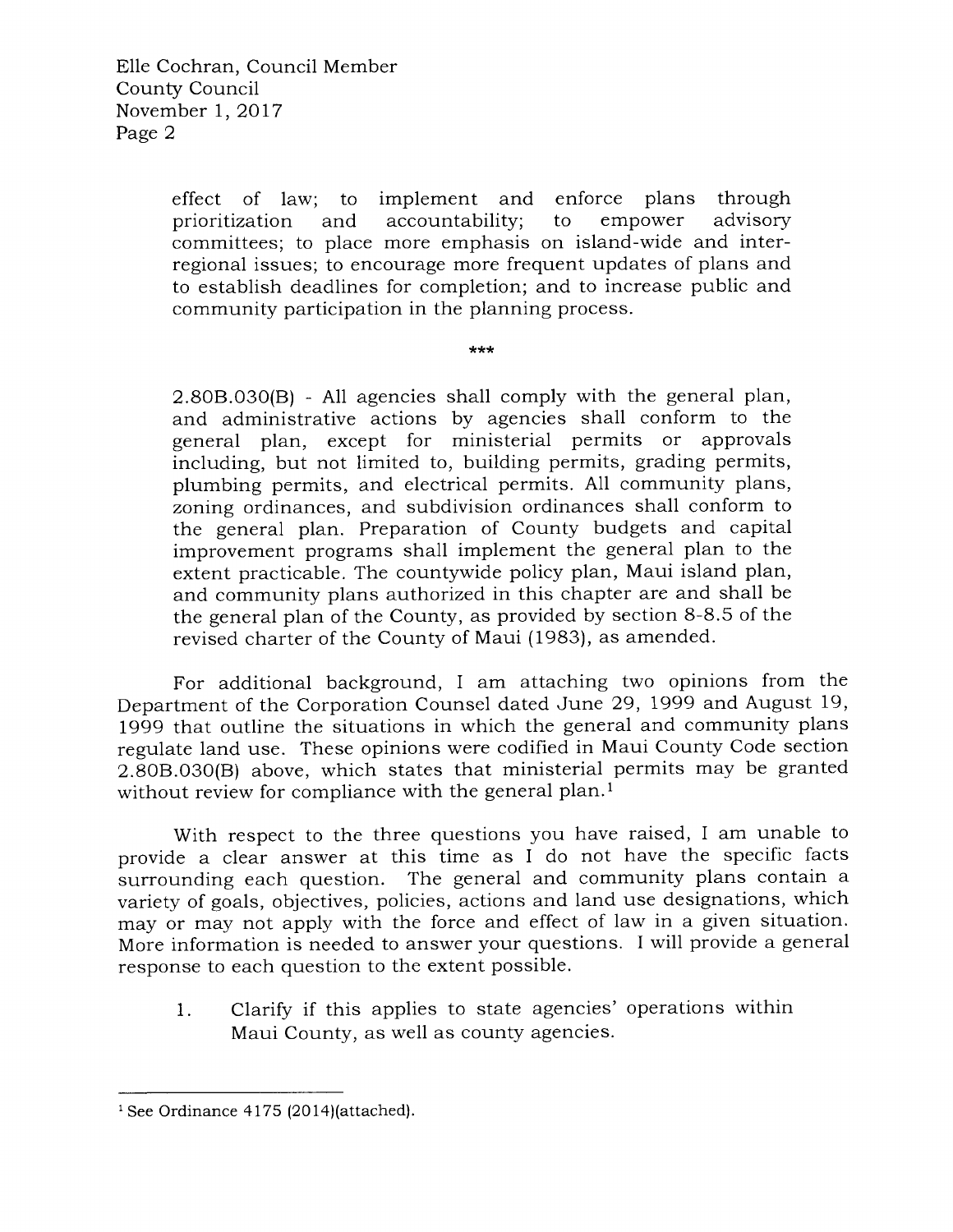effect of law; to implement and enforce plans through prioritization and accountability; to empower advisory prioritization and accountability; to empower advisory committees; to place more emphasis on isiand-wide and interregional issues; to encourage more frequent updates of plans and to establish deadlines for completion; and to increase public and community participation in the planning process.

\*\*\*

2.8O8.O30(B) - A11 agencies shall comply with the general plan, and administrative actions by agencies shal1 conform to the general plan, except for ministerial permits or approvais including, but not limited to, building permits, grading permits, plumbing permits, and electrical permits. All community plans, zoning ordinances, and subdivision ordinances shall conform to the general plan. Preparation of County budgets and capital improvement programs sha1l implement the general plan to the extent practicable. The countywide policy plan, Maui island plan, and community plans authorized in this chapter are and sha1l be the general plan of the County, as provided by section 8-8.5 of the revised charter of the County of Maui (1983), as amended.

For additional background, I am attaching two opinions from the Department of the Corporation Counsel dated June 29,1999 and August 19, 1999 that outline the situations in which the general and community plans regulate land use. These opinions were codified in Maui County Code section 2.S0B.O3O(B) above, which states that ministerial permits may be granted without review for compliance with the general plan.<sup>1</sup>

With respect to the three questions you have raised, I am unable to provide a clear answer at this time as I do not have the specific facts surrounding each question. The general and community plans contain a variety of goals, objectives, policies, actions and land use designations, which may or may not apply with the force and effect of law in a given situation. More information is needed to answer your questions. I will provide a general response to each question to the extent possible.

1. Clarify if this applies to state agencies' operations within Maui County, as well as county agencies.

 $1$  See Ordinance 4175 (2014)(attached).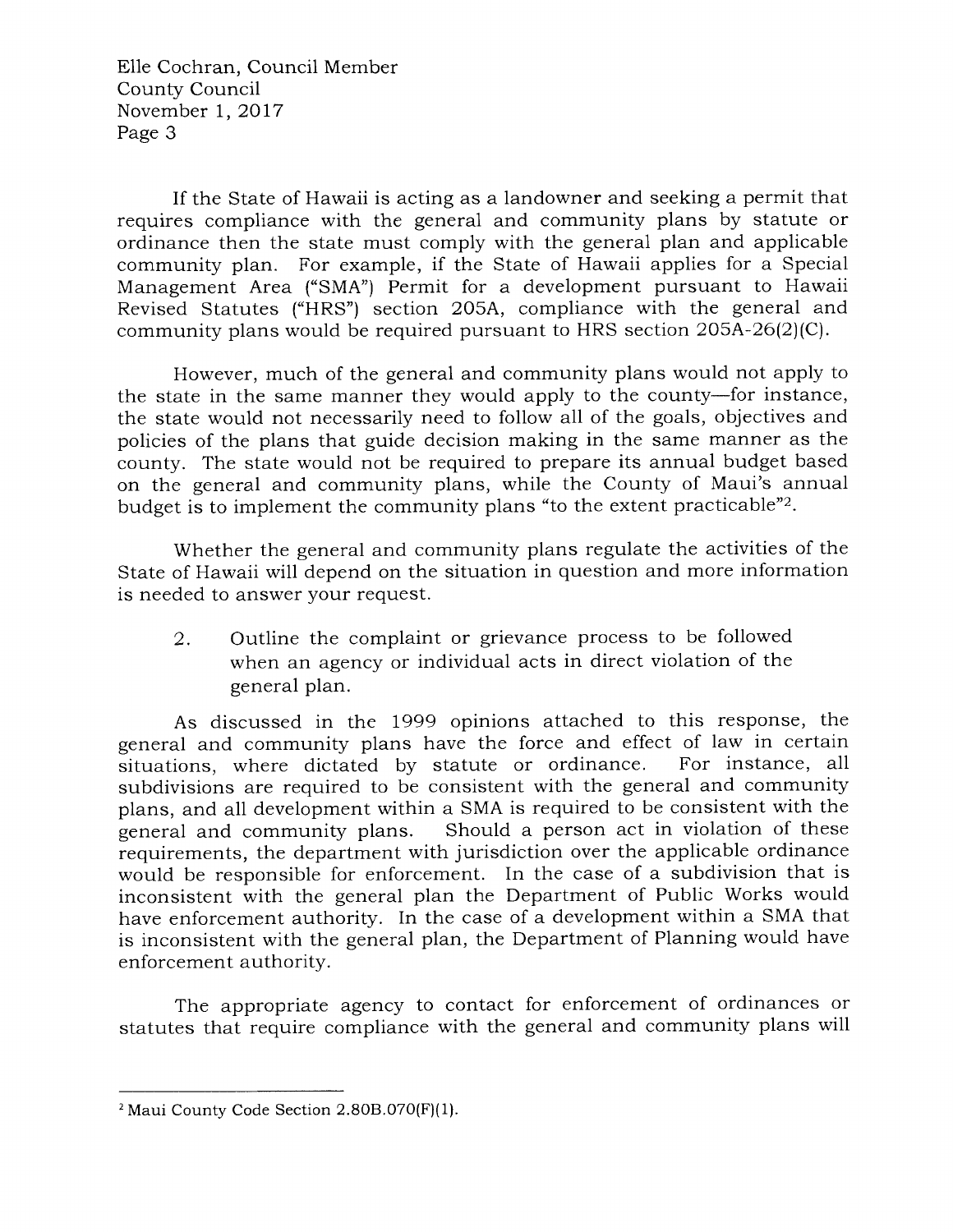Elle Cochran, Council Member County Council November L,2Ol7 Page 3

If the State of Hawaii is acting as a landowner and seeking a permit that requires compliance with the general and community plans by statute or ordinance then the state must comply with the general plan and applicable community plan. For example, if the State of Hawaii applies for a Special Management Area ("SMA") Permit for a development pursuant to Hawaii Revised Statutes ("HRS") section 205A, compliance with the general and community plans would be required pursuant to HRS section 205A-26(2)(C).

However, much of the general and community plans would not apply to the state in the same manner they would apply to the county-for instance, the state would not necessarily need to follow all of the goals, objectives and policies of the plans that guide decision making in the same manner as the county. The state would not be required to prepare its annual budget based on the general and community plans, while the County of Maui's annual budget is to implement the community plans "to the extent practicable"2.

Whether the general and community plans regulate the activities of the State of Hawaii will depend on the situation in question and more information is needed to answer your request.

2. Outline the complaint or grievance process to be followed when an agency or individual acts in direct violation of the general plan.

As discussed in the 7999 opinions attached to this response, the general and community plans have the force and effect of law in certain<br>situations, where dictated by statute or ordinance. For instance, all situations, where dictated by statute or ordinance. subdivisions are required to be consistent with the general and community plans, and all development within a SMA is required to be consistent with the general and community plans. Should a person act in violation of these Should a person act in violation of these requirements, the department with jurisdiction over the applicable ordinance would be responsible for enforcement. In the case of a subdivision that is inconsistent with the general plan the Department of Public Works would have enforcement authority. In the case of a development within a SMA that is inconsistent with the general plan, the Department of Planning would have enforcement authority.

The appropriate agency to contact for enforcement of ordinances or statutes that require compliance with the general and community plans will

 $2$  Maui County Code Section 2.80B.070(F)(1).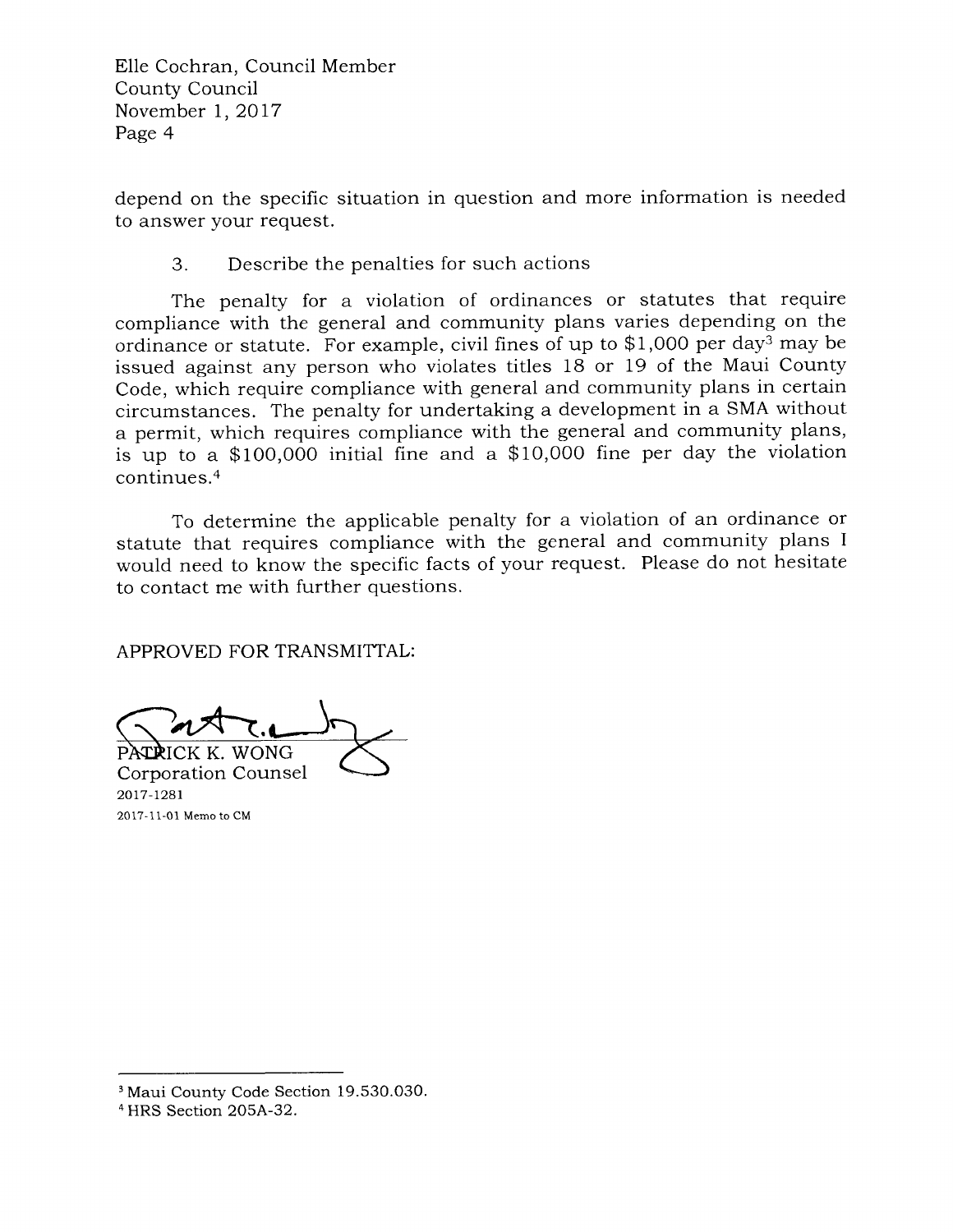Elle Cochran, Council Member County Council November 1,2017 Page 4

depend on the specific situation in question and more information is needed to answer your request.

# 3. Describe the penalties for such actions

The penalty for a violation of ordinances or statutes that require compliance with the general and community plans varies depending on the ordinance or statute. For example, civil fines of up to \$1,000 per day<sup>3</sup> may be issued against any person who violates titles 18 or 19 of the Maui County Code, which require compliance with general and community plans in certain circumstances. The penalty for undertaking a development in a SMA without a permit, which requires compliance with the general and community plans, is up to a \$100,000 initial fine and a \$10,000 fine per day the violation  $continus<sup>4</sup>$ 

To determine the applicable penalty for a violation of an ordinance or statute that requires compliance with the general and community plans <sup>I</sup> would need to know the specific facts of your request. Please do not hesitate to contact me with further questions.

APPROVED FOR TRANSMITTAL:

K. WONG

Corporation Counsel 2017-1281 2017-11-01 Memo to CM

<sup>&</sup>lt;sup>3</sup> Maui County Code Section 19.530.030.

<sup>4</sup> HRS Section 2O5A-32.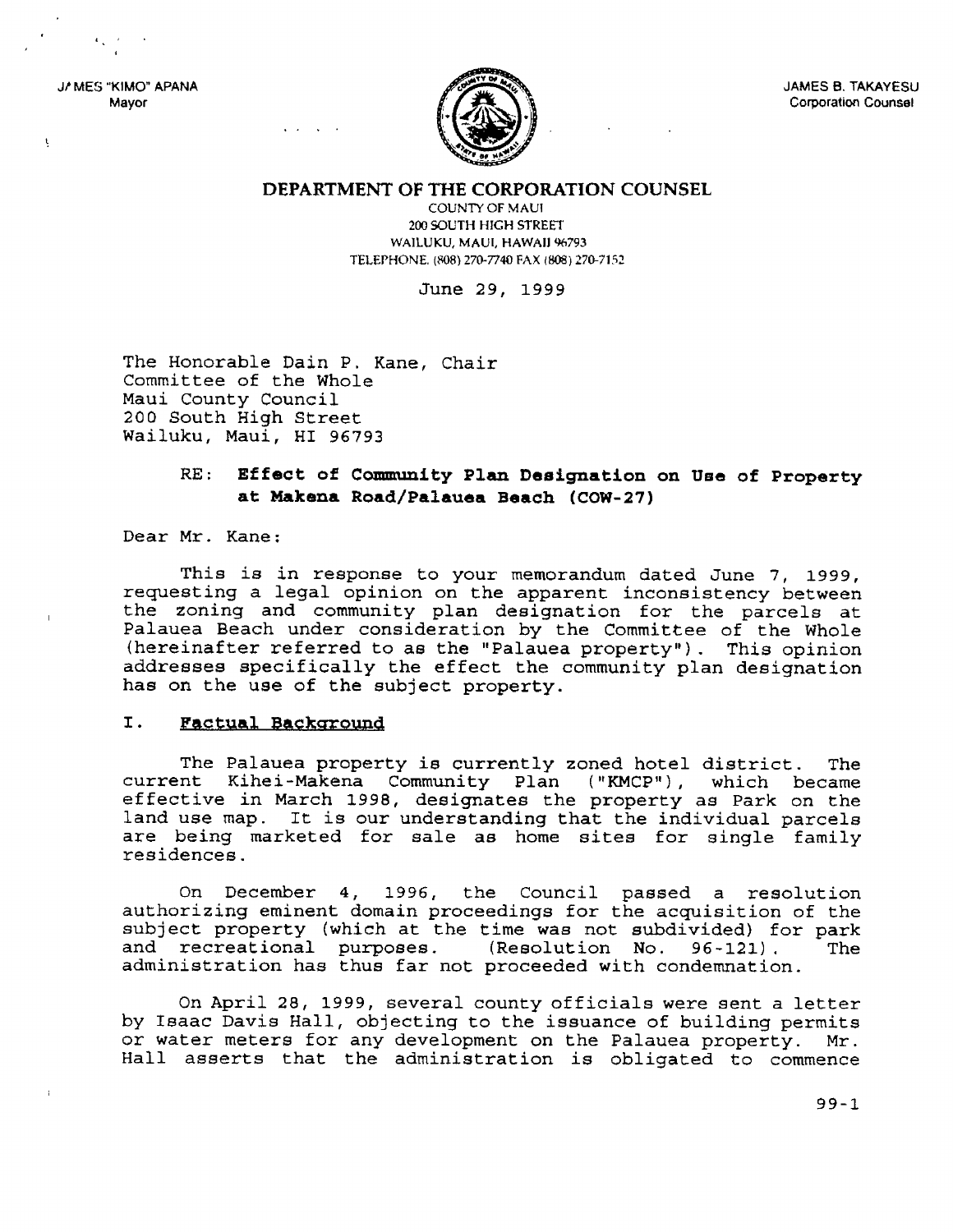J/ MES "KIMO" APANA Mayor

ţ



**JAMES B. TAKAYESU Corporation Counsel** 

DEPARTMENT OF THE CORPORATION COUNSEL

**COUNTY OF MAUI** 200 SOUTH HIGH STREET WAILUKU, MAUI, HAWAII 96793 TELEPHONE. (808) 270-7740 FAX (808) 270-7152

June 29, 1999

The Honorable Dain P. Kane, Chair Committee of the Whole Maui County Council 200 South High Street Wailuku, Maui, HI 96793

### Effect of Community Plan Designation on Use of Property  $RE:$ at Makena Road/Palauea Beach (COW-27)

Dear Mr. Kane:

This is in response to your memorandum dated June 7, 1999, requesting a legal opinion on the apparent inconsistency between the zoning and community plan designation for the parcels at Palauea Beach under consideration by the Committee of the Whole (hereinafter referred to as the "Palauea property"). This opinion addresses specifically the effect the community plan designation has on the use of the subject property.

#### I. Factual Background

The Palauea property is currently zoned hotel district. The current Kihei-Makena Community Plan ("KMCP"), which became effective in March 1998, designates the property as Park on the land use map. It is our understanding that the individual parcels are being marketed for sale as home sites for single family residences.

On December 4, 1996, the Council passed a resolution authorizing eminent domain proceedings for the acquisition of the subject property (which at the time was not subdivided) for park and recreational purposes. (Resolution No.  $96 - 121$ . **The** administration has thus far not proceeded with condemnation.

On April 28, 1999, several county officials were sent a letter by Isaac Davis Hall, objecting to the issuance of building permits or water meters for any development on the Palauea property. Mr. Hall asserts that the administration is obligated to commence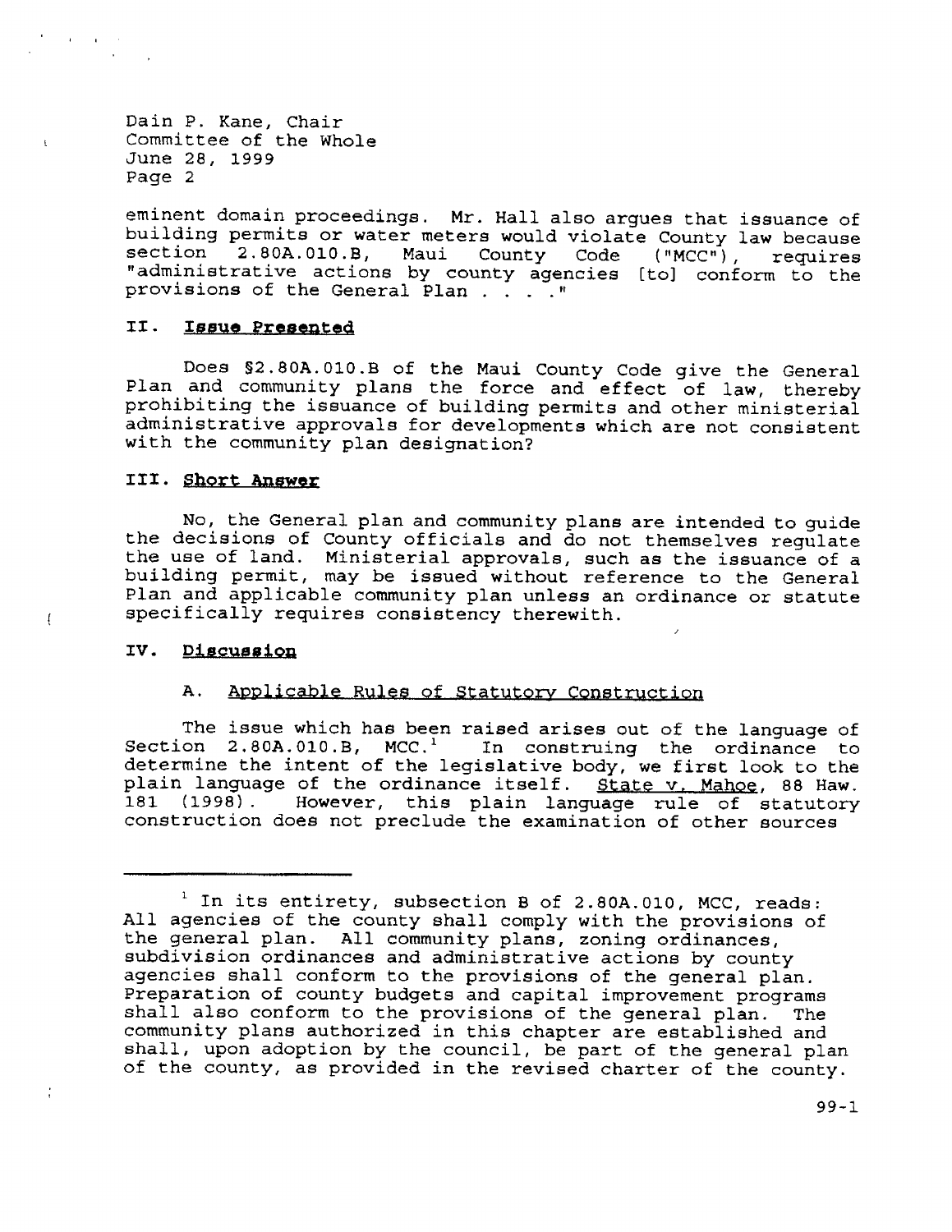$\mathbf{t}$ 

 $\mathfrak{g}$ 

eminent domain proceedings. Mr. Hall also argues that issuance of building permits or water meters would violate County law because section 2.80A.010.B, Maui County Code ("MCC"), requires<br>"administrative actions by county agencies [to] conform to the section provisions of the General Plan . . . . "

#### II. Issue Presented

Does \$2.80A.010.B of the Maui County Code give the General<br>Plan and community plans the force and effect of law, thereby prohibiting the issuance of building permits and other ministerial administrative approvals for developments which are not consistent with the community plan designation?

### III. Short Answer

No, the General plan and community plans are intended to guide the decisions of County officials and do not themselves requlate the use of land. Ministerial approvals, such as the issuance of a<br>building permit, may be issued without reference to the General Plan and applicable community plan unless an ordinance or statute specifically requires consistency therewith.

#### IV. Discussion

#### Applicable Rules of Statutory Construction A.

The issue which has been raised arises out of the language of Section 2.80A.010.B, MCC.<sup>1</sup> In construing the ordinance to determine the intent of the legislative body, we first look to the plain language of the ordinance itself. State v. Mahoe, 88 Haw. 181 (1998). However, this plain language rule of statutory construction does not preclude the examination of other sources

<sup>&</sup>lt;sup>1</sup> In its entirety, subsection B of 2.80A.010, MCC, reads: All agencies of the county shall comply with the provisions of the general plan. All community plans, zoning ordinances, subdivision ordinances and administrative actions by county agencies shall conform to the provisions of the general plan. Preparation of county budgets and capital improvement programs shall also conform to the provisions of the general plan. The community plans authorized in this chapter are established and shall, upon adoption by the council, be part of the general plan of the county, as provided in the revised charter of the county.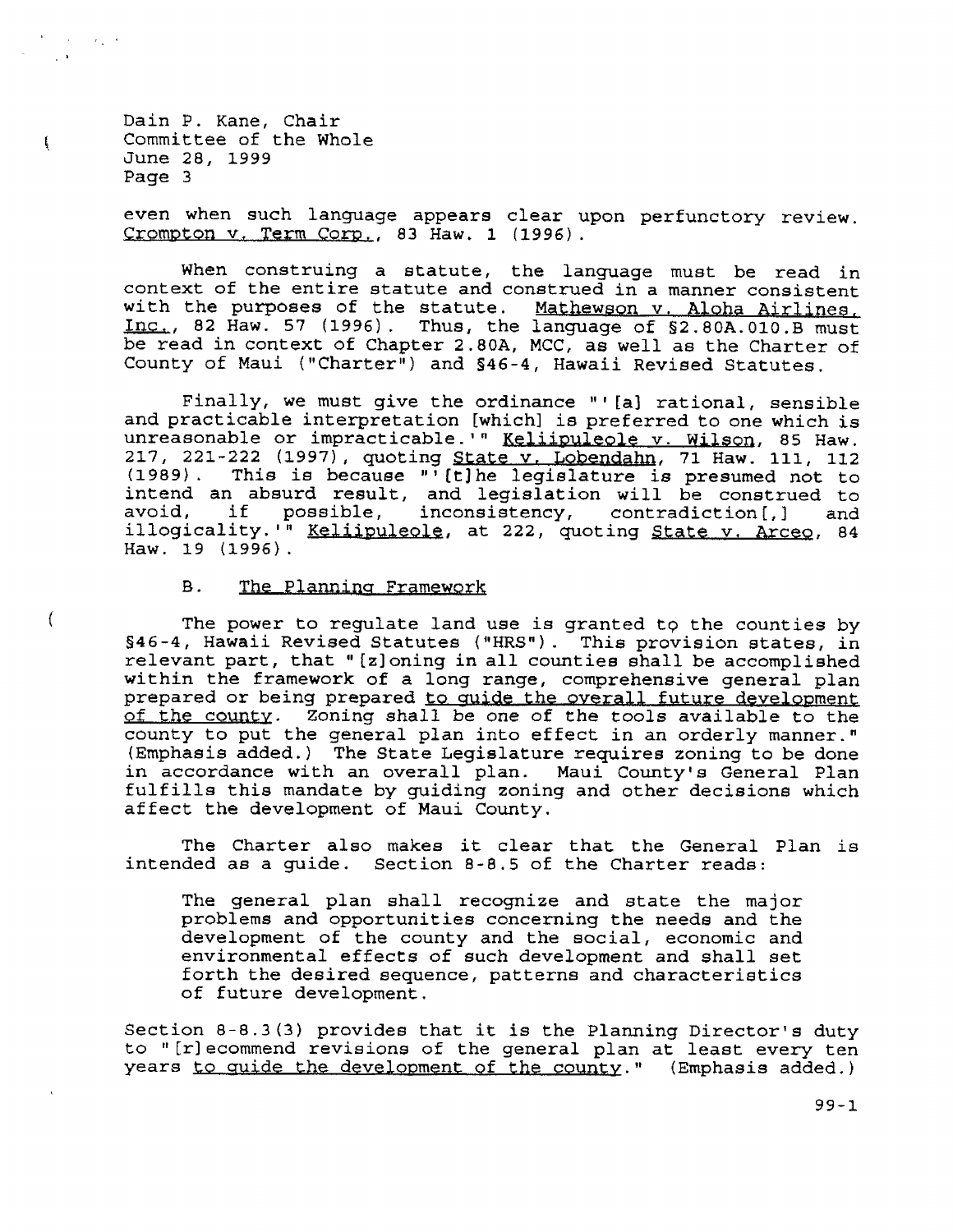$\sim 10^{11}$  m  $^{-1}$  and  $\sim 10^{11}$ 

-Ę.

 $\mathcal{L}$ 

even when such language appears clear upon perfunctory review. Crompton v. Term Corp., 83 Haw. 1 (1996).

When construing a statute, the language must be read in context of the entire statute and construed in a manner consistent with the purposes of the statute. Mathewson v. Aloha Airlines, Inc., 82 Haw. 57 (1996). Thus, the language of \$2.80A.010.B must be read in context of Chapter 2.80A, MCC, as well as the Charter of County of Maui ("Charter") and §46-4, Hawaii Revised Statutes.

Finally, we must give the ordinance "'[a] rational, sensible and practicable interpretation [which] is preferred to one which is unreasonable or impracticable.'" Keliipuleole v. Wilson, 85 Haw. 217, 221-222 (1997), quoting State v. Lobendahn, 71 Haw. 111, 112 (1989). This is because "'[t]he legislature is presumed not to intend an absurd result, and legislation will be construed to if avoid, possible, inconsistency, contradiction [, ] and illogicality.<sup>1</sup> Keliipuleole, at 222, quoting State v. Arceo, 84 Haw. 19 (1996).

#### **B.** The Planning Framework

The power to regulate land use is granted to the counties by §46-4, Hawaii Revised Statutes ("HRS"). This provision states, in relevant part, that "[z] oning in all counties shall be accomplished within the framework of a long range, comprehensive general plan prepared or being prepared to guide the overall future development of the county. Zoning shall be one of the tools available to the county to put the general plan into effect in an orderly manner." (Emphasis added.) The State Legislature requires zoning to be done in accordance with an overall plan. Maui County's General Plan fulfills this mandate by guiding zoning and other decisions which affect the development of Maui County.

The Charter also makes it clear that the General Plan is intended as a guide. Section 8-8.5 of the Charter reads:

The general plan shall recognize and state the major problems and opportunities concerning the needs and the development of the county and the social, economic and environmental effects of such development and shall set forth the desired sequence, patterns and characteristics of future development.

Section 8-8.3(3) provides that it is the Planning Director's duty to "[r] ecommend revisions of the general plan at least every ten years to quide the development of the county." (Emphasis added.)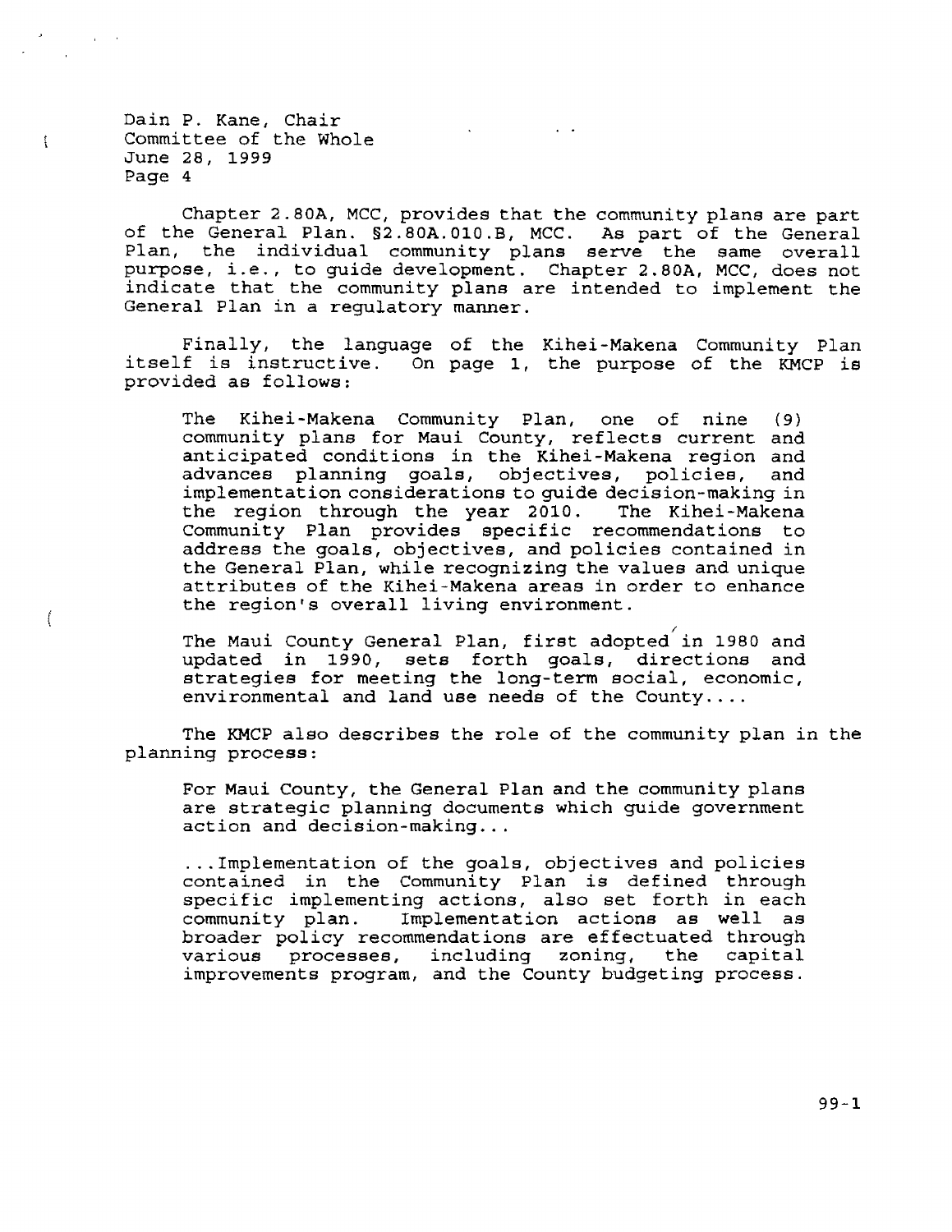$\frac{1}{2}$ 

 $\overline{1}$ 

Chapter 2.80A, MCC, provides that the community plans are part of the General Plan.  $$2.80A. 010.B$ , MCC. As part of the General Plan, the individual community plans serve the same overall purpose, i.e., to quide developmen purpose, that the community plans are intended to implement the General Plan in a requlatory manner.

Finally, the language of the Kihei-Makena Community Plan<br>itself is instructive. On page 1, the purpose of the KMCP is itself is instructive. On page 1, the purpose of the KMCP is provided as follows:

The Kihei-Makena Community Plan, one of nine (9) community plans for Maui County, reflects current and anticipated conditions in the Kihei-Makena region and advances planning goals, objectives, policies, and advances planning goals, objectives, policies, implementation considerations to guide decision-making in<br>the region through the year 2010. The Kihei-Makena the region through the year 2010. CommuniEy Plan provides specific recommendations to addrese the goals, objectives, and policies contained in the General Plan, while recognizing the values and unique attributes of the Kihei-Makena areas in order to enhance the region's overall living environment.

The Maui County General Plan, first adopted in 1980 and updated in 1990, sets forth goals, directions and strategies for meeting the long-term social, economic, environmental and land use needs of the County....

The KMCP also describes the role of the community plan in the planning process:

For Maui County, the General PIan and the community plane are strategic planning documents which guide government action and decision-making.. .

...Implementation of the goals. objectives and policies contained in the Community Plan is defined through specific implementing actions, also set forth in each community plan. Implementation actione aa we1I as broader policy recommendations are effectuated through<br>various processes, including zoning, the capital processes, including zoning, the improvements program, and the County budgeting process.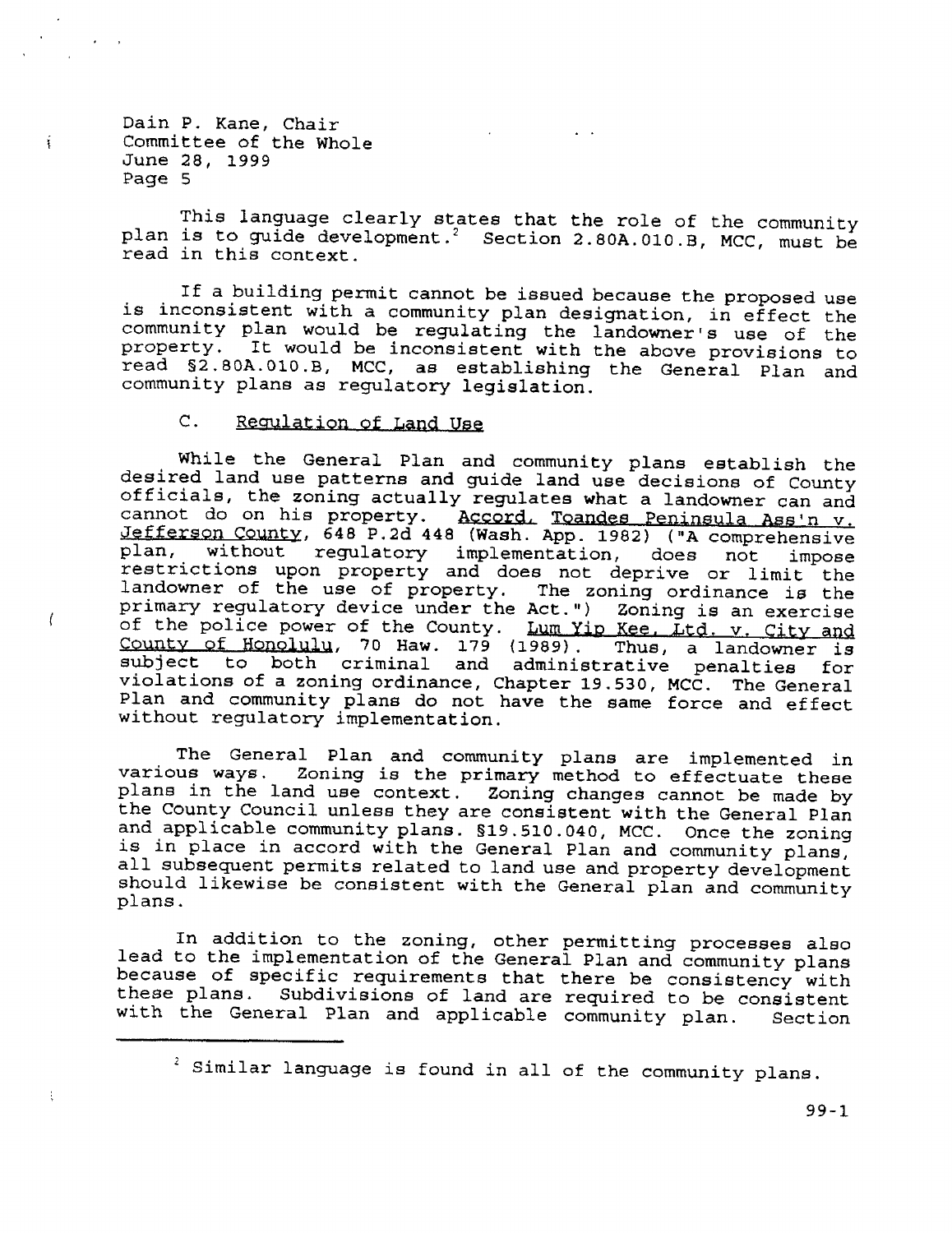$\mathbf{r}$ 

 $\left($ 

 $\mathbf{f}$ 

This language clearly states that the role of the community plan is to guide development.<sup>2</sup> Section 2.80A.010.B, MCC, must be read in this context.

If a building permit cannot be issued because the proposed use is inconsistent with a community plan designation, in effect the community plan would be regulating the landowner's use of the property. It would be inconsistent with the above provisions to read \$2.80A.010.B, MCC, as establishing the General Plan and community plans as regulatory legislation.

 $\mathsf{C}$ . Regulation of Land Use

While the General Plan and community plans establish the desired land use patterns and guide land use decisions of County officials, the zoning actually regulates what a landowner can and cannot do on his property. Accord, Toandes Peninsula Ass'n v.<br>Jefferson County, 648 P.2d 448 (Wash. App. 1982) ("A comprehensive without regulatory implementation, does not plan. impose restrictions upon property and does not deprive or limit the landowner of the use of property. The zoning ordinance is the primary regulatory device under the Act.") Zoning is an exercise of the police power of the County. Lum Yip Kee, Ltd. v. City and County of Honolulu, 70 Haw. 179 (1989). Thus, a landowner is subject to both criminal and administrative penalties for violations of a zoning ordinance, Chapter 19.530, MCC. The General Plan and community plans do not have the same force and effect without regulatory implementation.

The General Plan and community plans are implemented in various ways. Zoning is the primary method to effectuate these plans in the land use context. Zoning changes cannot be made by the County Council unless they are consistent with the General Plan and applicable community plans. \$19.510.040, MCC. Once the zoning is in place in accord with the General Plan and community plans, all subsequent permits related to land use and property development should likewise be consistent with the General plan and community plans.

In addition to the zoning, other permitting processes also lead to the implementation of the General Plan and community plans because of specific requirements that there be consistency with these plans. Subdivisions of land are required to be consistent with the General Plan and applicable community plan. Section

<sup>2</sup> Similar language is found in all of the community plans.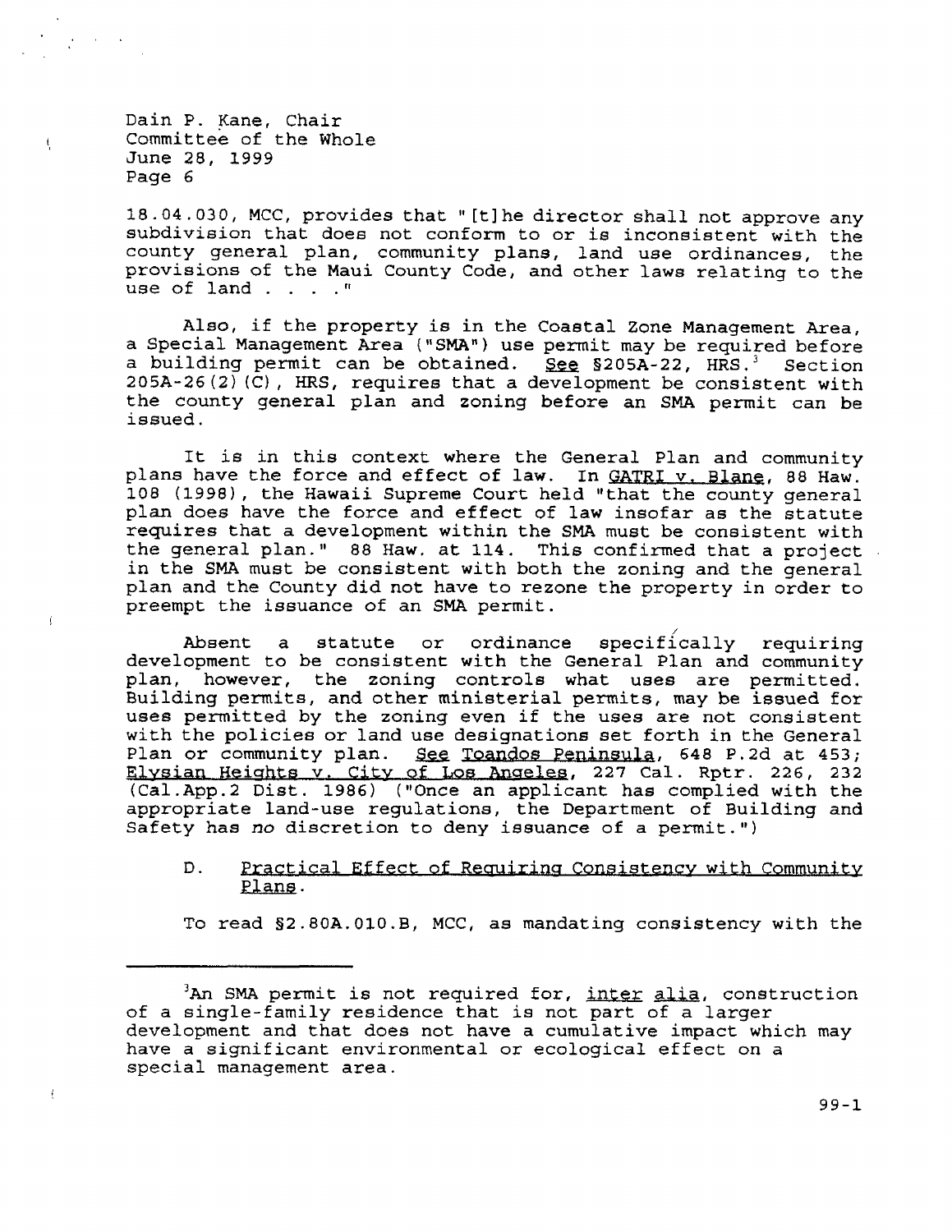$\mathfrak{t}$ 

 $\ddot{f}$ 

18.04.030, MCC, provides that "[t] he director shall not approve any subdivision that does not conform to or is inconsistent with the county general plan, community plans, land use ordinances, the provisions of the Maui Co use of land . . . . "

Also, if the property is in the Coastal Zone Management Area, a Special Management Area ("SMA") use permit may be required before<br>a building permit can be obtained. See §205A-22, HRS.<sup>3</sup> Section  $205A-26 (2) (C)$ , HRS, requires that a development be consistent with the county general plan and zoning before an SMA permit can be issued.

It is in this context where the General Plan and community<br>plans have the force and effect of law. In <u>GATRI v. Blane</u>, 88 Haw.<br>108 (1998), the Hawaii Supreme Court held "that the county general<br>plan does have the force an preempt the issuance of an SMA permit.

Absent a statute or ordinance specifically requiring<br>development to be consistent with the General Plan and community development to be consistent with the General Plan and community plan, however, the zoning controls what uses are permitted. Building permits, and other ministerial permits, may be issued for uses permitted by the zoning even if the uses are not consistent<br>with the policies or land use designations set forth in the General<br>Plan or community plan. See Toandos Peninsula, 648 P.2d at 453; Elysian Heights v. City of Los Angeles, 227 Cal. Rptr. 226, 232<br>(Cal.App.2 Dist. 1986) ("Once an applicant has complied with the<br>appropriate land-use regulations, the Department of Building and<br>Safety has no discretion to

### Practical Effect of Requiring Consistency with Community Plans.  $D$ .

To read \$2.80A.010.B, MCC, as mandating consistency with the

 $3$ An SMA permit is not required for, inter alia, construction of a single-family residence that is not part of a larger development and that does not have a cumulative impact which may have a significant environmental or ecological effect on a special management area.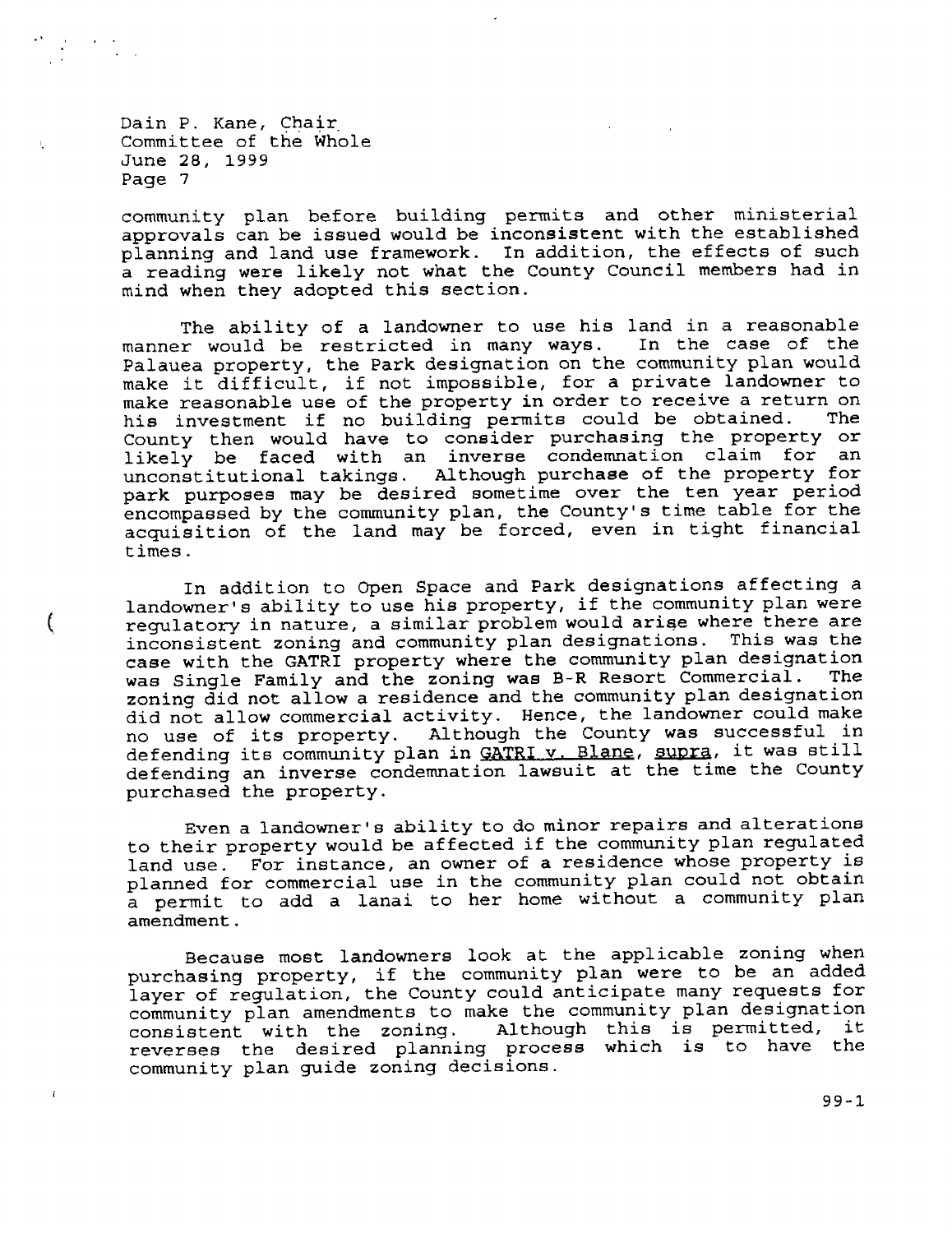€

community plan before building permits and other ministerial approvals can be issued would be inconsistent with the established planning and land use framework. In addition, the effects of such a reading were likely not what the County Council members had in mind when they adopted this section.

The ability of a landowner to use his land in a reasonable manner would be restricted in many ways. In the case of the Palauea property, the Park designation on the community plan would make it difficult, if not impossible, for a private landowner to make reasonable use of the property in order to receive a return on his investment if no building permits could be obtained. The County then would have to consider purchasing the property or likely be faced with an inverse condemnation claim for an unconstitutional takings. Although purchase of the property for park purposes may be desired sometime over the ten year period encompassed by the community plan, the County's time table for the acquisition of the land may be forced, even in tight financial times.

In addition to Open Space and Park designations affecting a landowner's ability to use his property, if the community plan were regulatory in nature, a similar problem would arise where there are inconsistent zoning and community plan designations. This was the case with the GATRI property where the community plan designation was Single Family and the zoning was B-R Resort Commercial. The zoning did not allow a residence and the community plan designation did not allow commercial activity. Hence, the landowner could make no use of its property. Although the County was successful in defending its community plan in GATRI v. Blane, supra, it was still defending an inverse condemnation lawsuit at the time the County purchased the property.

Even a landowner's ability to do minor repairs and alterations to their property would be affected if the community plan regulated land use. For instance, an owner of a residence whose property is planned for commercial use in the community plan could not obtain a permit to add a lanai to her home without a community plan amendment.

Because most landowners look at the applicable zoning when purchasing property, if the community plan were to be an added layer of regulation, the County could anticipate many requests for community plan amendments to make the community plan designation<br>consistent with the zoning. Although this is permitted, it reverses the desired planning process which is to have the community plan guide zoning decisions.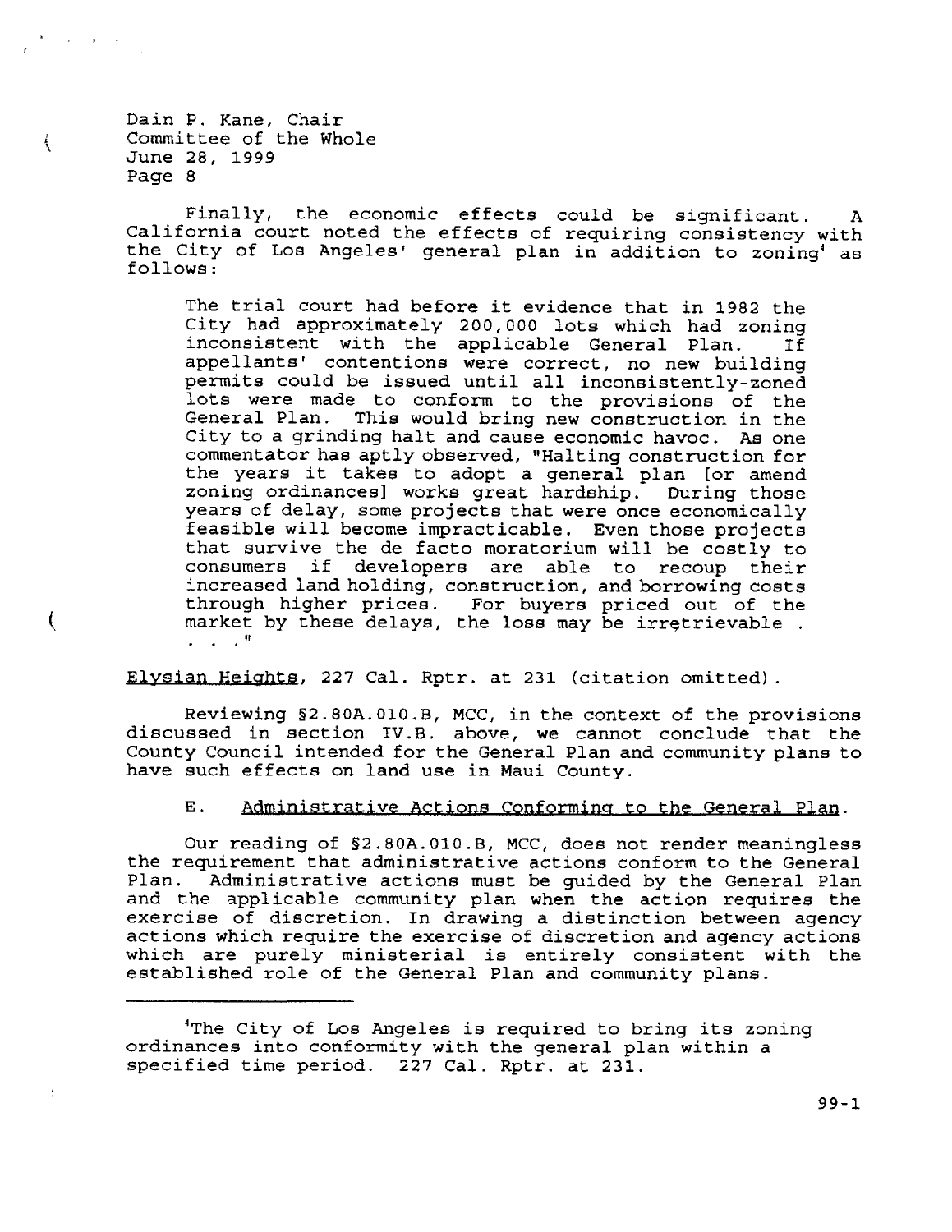ţ

 $\left($ 

ł

Finally, the economic effects could be significant.  $\mathbf{A}$ California court noted the effects of requiring consistency with the City of Los Angeles' general plan in addition to zoning<sup>4</sup> as follows:

The trial court had before it evidence that in 1982 the City had approximately 200,000 lots which had zoning<br>inconsistent with the applicable General Plan. If appellants' contentions were correct, no new building permits could be issued until all inconsistently-zoned lots were made to conform to the provisions of the General Plan. This would bring new construction in the City to a grinding halt and cause economic havoc. As one commentator has aptly observed, "Halting construction for the years it takes to adopt a general plan (or amend zoning ordinances] works great hardship. During those years of delay, some projects that were once economically feasible will become impracticable. Even those projects that survive the de facto moratorium will be costly to consumers if developers are able to recoup their increased land holding, construction, and borrowing costs through higher prices. For buyers priced out of the market by these delays, the loss may be irretrievable.  $\mathbf{L} = \mathbf{L} \times \mathbf{R}$ 

Elysian Heights, 227 Cal. Rptr. at 231 (citation omitted).

Reviewing §2.80A.010.B, MCC, in the context of the provisions discussed in section IV.B. above, we cannot conclude that the County Council intended for the General Plan and community plans to have such effects on land use in Maui County.

Ε. Administrative Actions Conforming to the General Plan.

Our reading of §2.80A.010.B, MCC, does not render meaningless the requirement that administrative actions conform to the General Plan. Administrative actions must be guided by the General Plan and the applicable community plan when the action requires the exercise of discretion. In drawing a distinction between agency actions which require the exercise of discretion and agency actions which are purely ministerial is entirely consistent with the established role of the General Plan and community plans.

 $99 - 1$ 

<sup>&#</sup>x27;The City of Los Angeles is required to bring its zoning ordinances into conformity with the general plan within a specified time period. 227 Cal. Rptr. at 231.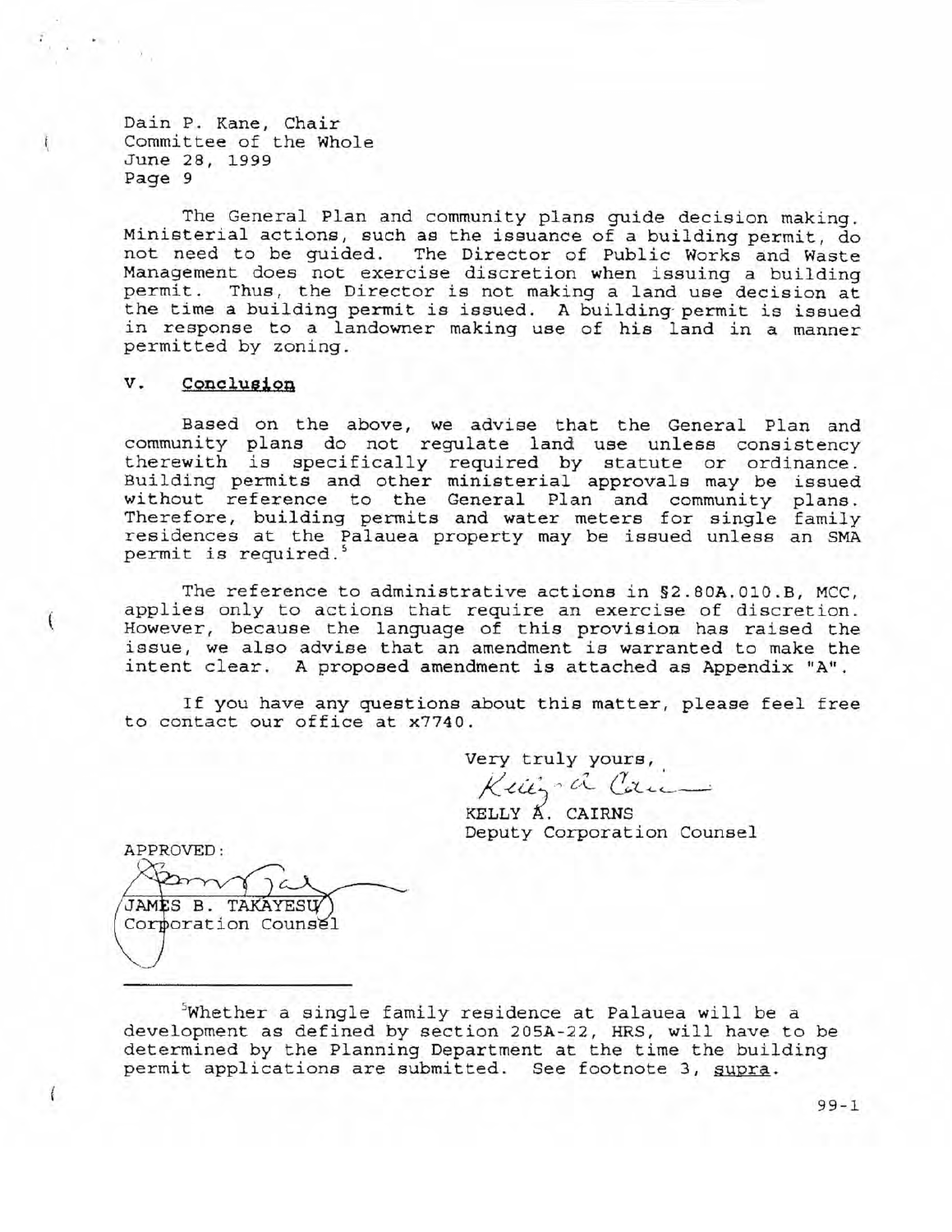The General Plan and community plans guide decision making. Ministerial actions, such as the issuance of a building permit, do not need to be guided. The Director of Public Works and Waste Management does not exercise discretion when issuing a building permit. Thus, the Director is not making a land use decision at the time a building permit is issued. A building permit is issued in response to a landowner making use of his land in a manner permitted by zoning.

#### v. Conclusion

Based on the above, we advise that the General Plan and community plans do not regulate land use unless consistency therewith is specifically required by statute or ordinance. Building permits and other ministerial approvals may be issued without reference to the General Plan and community plans.<br>Therefore, building permits and water meters for single family<br>residences at the Palauea property may be issued unless an SMA permit is required.<sup>5</sup>

The reference to administrative actions in §2.80A.010.B, MCC, applies only to actions that require an exercise of discretion. However, because the language of this provision has raised the issue, we also advise that an amendment is warranted to make the intent clear. A proposed amendment is attached as Appendix "A".

If you have any questions about this matter, please feel free to contact our office at x7740.

> Very truly yours, Kein'a Can

KELLY A. CAIRNS Deputy Corporation Counsel

APPROVED: JAMES B. TAKAYESU Corporation Counsel

Whether a single family residence at Palauea will be a development as defined by section 205A-22, HRS, will have to be determined by the Planning Department at the time the building permit applications are submitted. See footnote 3, supra.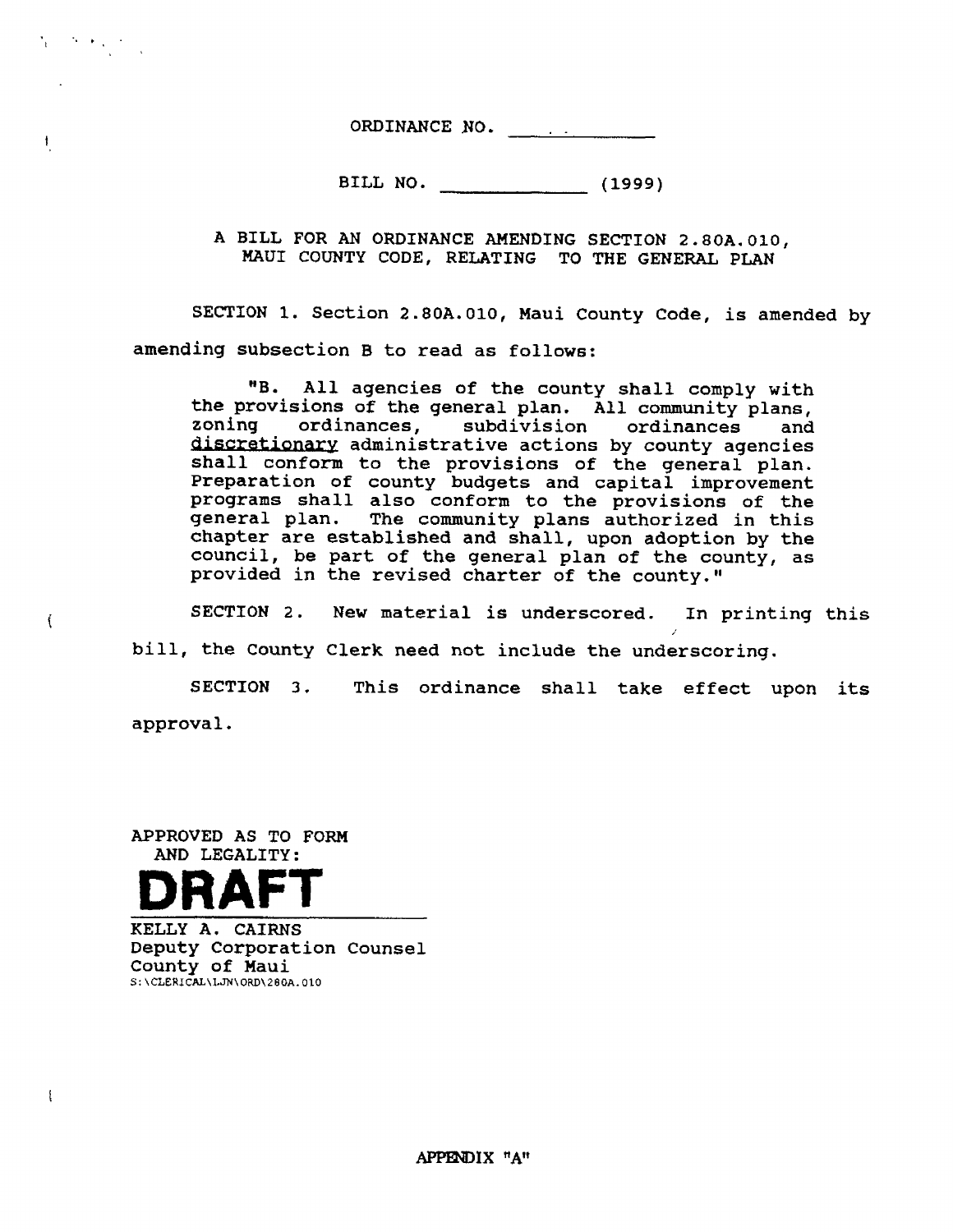ORDINANCE NO.

BILL NO. (1999)

A BILL FOR AN ORDINANCE AHENDING SECTTON 2.8OA.O10, MAUI COUNTY CODE, RELATING TO THE GENERAL PLAN

SECTION 1. Section 2.80A.010, Maui County Code, is amended by amending subsection B to read as follows:

"B. All agencies of the county shall comply with<br>the provisions of the general plan. All community plans,<br>zoning ordinances, subdivision ordinances and<br>discretionary administrative actions by county agencies<br>shall conform programs shall also conform to the provisions of the general plan. The community plans authorized in this chapter are established and shall, upon adoption by the council, be part of the general plan of the county, as provi

SECTION 2. New material is underscored. In printing this biII, the County Clerk need not include the underscoring.

SECTION 3. This ordinance shall take effect upon its approval.

APPROVED AS TO FORM AND LEGALTTY:



 $\sum_{i=1}^n\left(\sum_{j=1}^n\sum_{j=1}^n\sum_{j=1}^n\frac{1}{j}\right)^2\leq\sum_{i=1}^n\left(\sum_{j=1}^n\sum_{j=1}^n\frac{1}{j}\right)^2.$ 

 $\pmb{\dagger}$ 

 $\left($ 

 $\mathbf{I}$ 

KELLY A. CAIRNS Deputy Corporation Counsel County of Maui <sup>S</sup>: \ CLERJ CAI\LJN\ ORD\ 2 80A. 010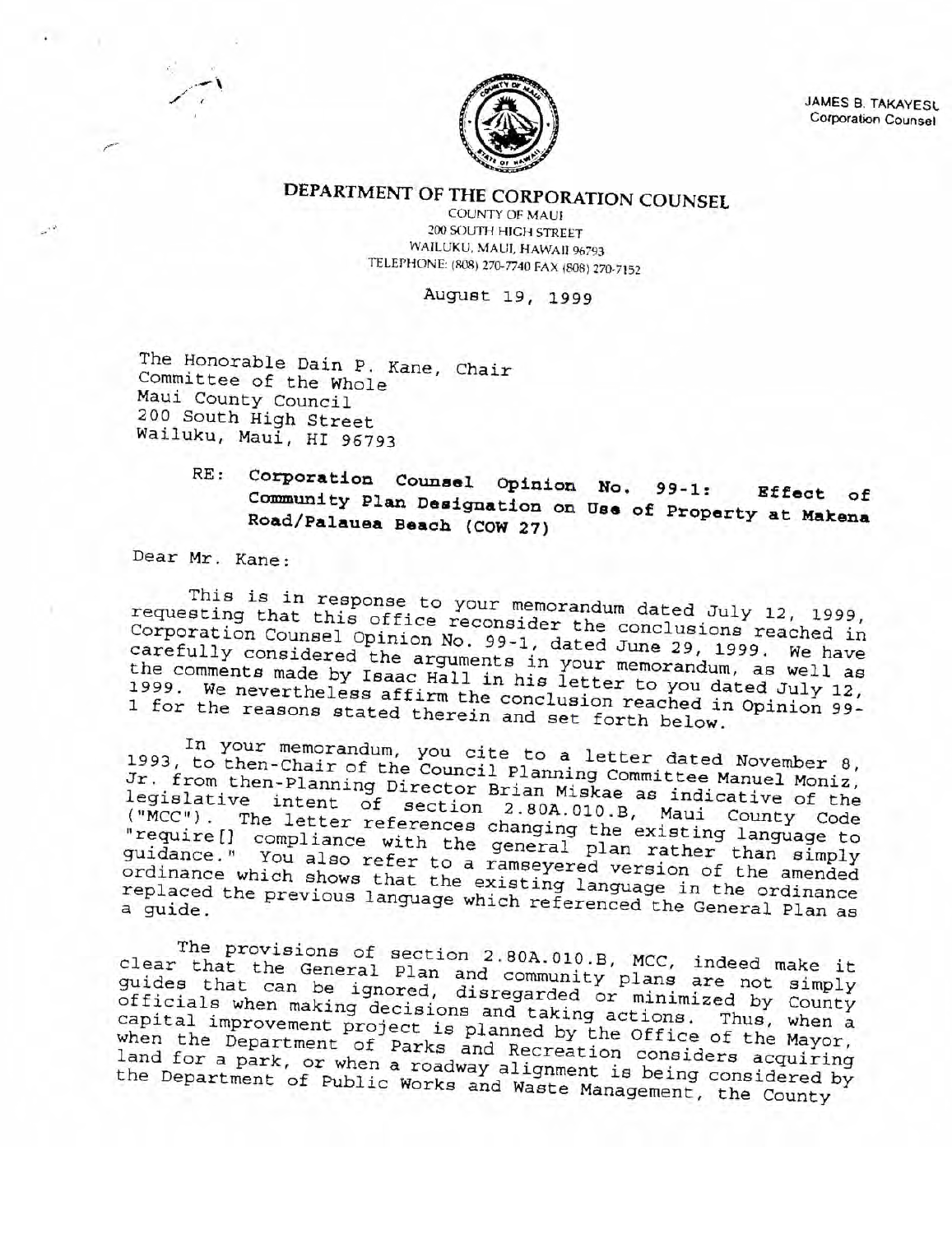

JAMES B. TAKAYESU Corporation Counsel

DEPARTMENT OF THE CORPORATION COUNSEL

**COUNTY OF MAUI** 200 SOUTH HIGH STREET WAILUKU, MAUI, HAWAII 96793 TELEPHONE: (808) 270-7740 FAX (808) 270-7152

August 19, 1999

The Honorable Dain P. Kane, Chair Committee of the Whole Maui County Council 200 South High Street Wailuku, Maui, HI 96793

### Corporation Counsel Opinion No.  $RE:$  $99 - 1:$ Effect of Community Plan Designation on Use of Property at Makena Road/Palauea Beach (COW 27)

Dear Mr. Kane:

This is in response to your memorandum dated July 12, 1999, requesting that this office reconsider the conclusions reached in Corporation Counsel Opinion No. 99-1, dated June 29, 1999. We have carefully considered the arguments in your memorandum, as well as the comments made by Isaac Hall in his letter to you dated July 12, 1999. We nevertheless affirm the conclusion reached in Opinion 99-1 for the reasons stated therein and set forth below.

In your memorandum, you cite to a letter dated November 8, 1993, to then-Chair of the Council Planning Committee Manuel Moniz, Jr. from then-Planning Director Brian Miskae as indicative of the legislative intent of section 2.80A.010.B, Maui County Code ("MCC"). The letter references changing the existing language to "require[] compliance with the general plan rather than simply guidance." You also refer to a ramseyered version of the amended ordinance which shows that the existing language in the ordinance replaced the previous language which referenced the General Plan as

The provisions of section 2.80A.010.B, MCC, indeed make it<br>clear that the General Plan and community plans are not simply guides that can be ignored, disregarded or minimized by County officials when making decisions and taking actions. Thus, when a capital improvement project is planned by the Office of the Mayor, when the Department of Parks and Recreation considers acquiring land for a park, or when a roadway alignment is being considered by the Department of Public Works and Waste Management, the County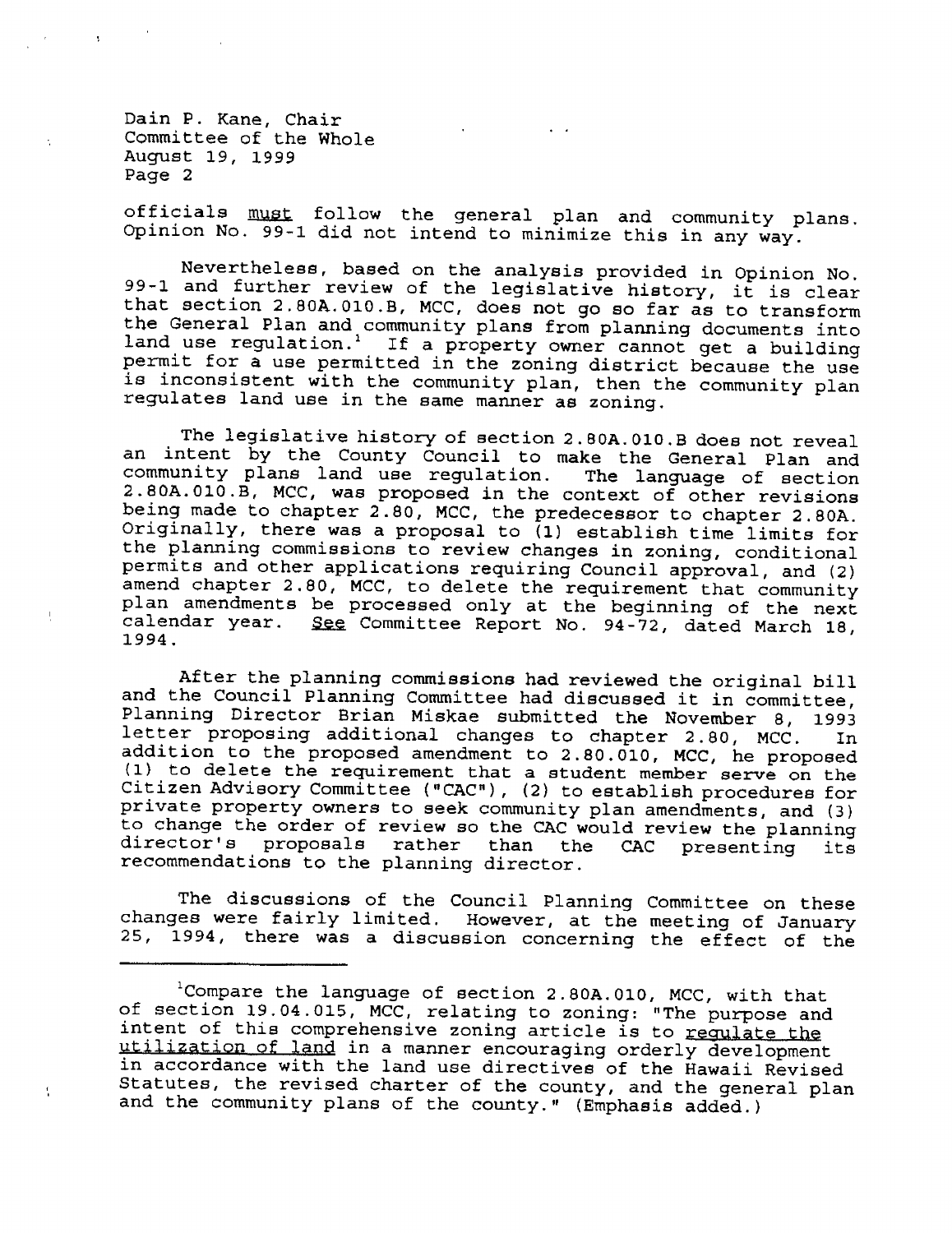Dain P. Kane, Chair Committee of the Whole August 19, <sup>1999</sup> Page <sup>2</sup>

 $\mathbf{f}_\mathbf{a}$ 

officials must follow the general plan and community plans.<br>Opinion No. 99-1 did not intend to minimize this in any way.

Nevertheless, based on the analysis provided in Opinion No.<br>99-1 and further review of the legislative history, it is clear<br>that section 2.80A.010.B, MCC, does not go so far as to transform<br>the General Plan and community p

The legislative history of section 2.80A.010.B does not reveal<br>an intent by the County Council to make the General Plan and community plans land use regulation. The language of section 2.80A.010.B, MCC, was proposed in the context of other revisions being made to chapter 2.80, MCC, the predecessor to chapter 2.80A. Originally, there was a propo plan amendments be processed only at the beginning of the next<br>calendar year. <u>See</u> Committee Report No. 94-72, dated March 18,<br>1994.

After the planning commissions had reviewed the original bill<br>and the Council Planning Committee had discussed it in committee,<br>Planning Director Brian Miskae submitted the November 8, 1993<br>letter proposing additional chan

The discussions of the Council Planning Committee on these<br>changes were fairly limited. However, at the meeting of January<br>25, 1994, there was a discussion concerning the effect of the

<sup>&</sup>lt;sup>1</sup>Compare the language of section 2.80A.010, MCC, with that<br>of section 19.04.015, MCC, relating to zoning: "The purpose and<br>intent of this comprehensive zoning article is to <u>regulate the</u><br>utilization of land in a manner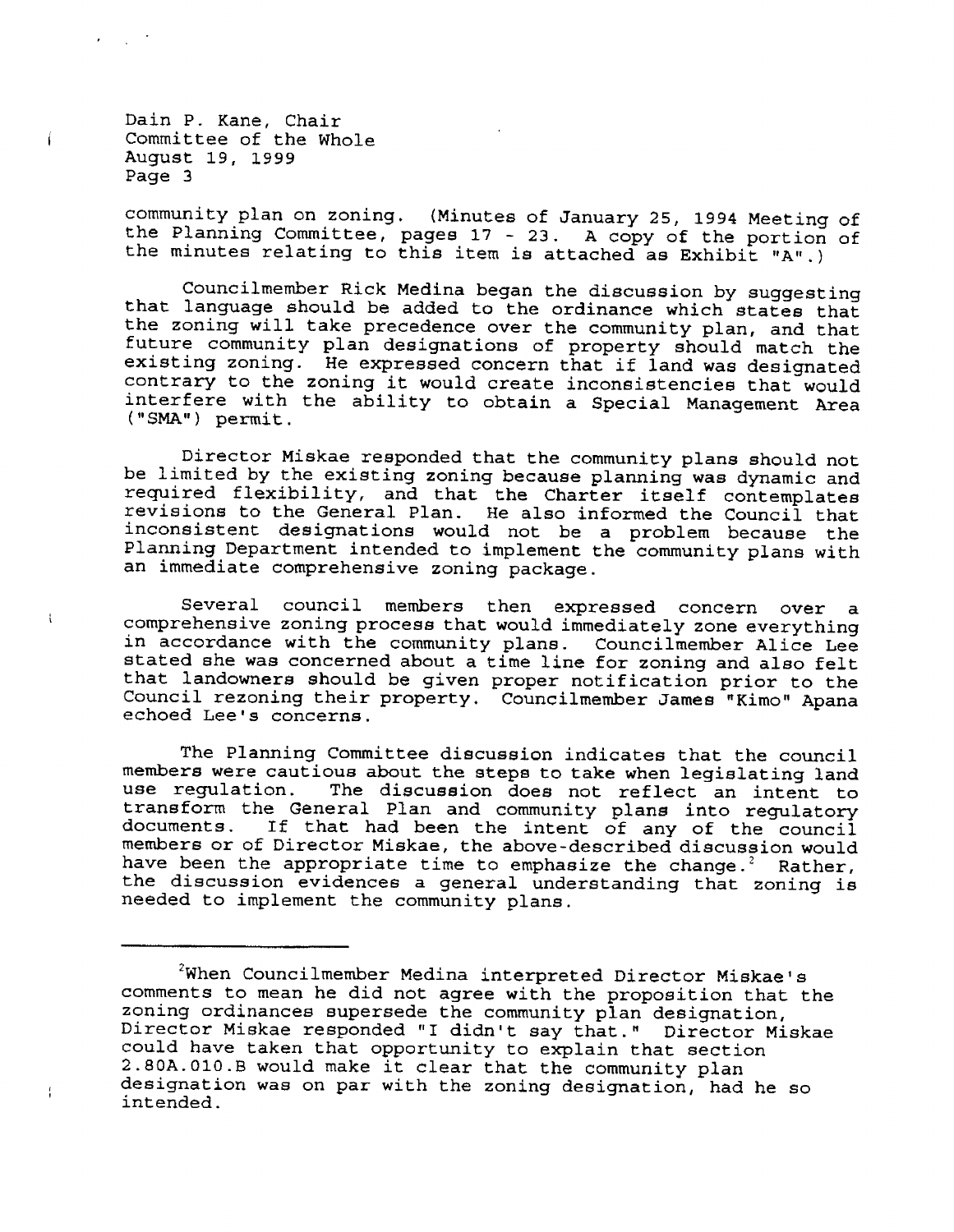Dain P. Kane, Chair Committee of the Whole August 19, 1999 Page 3

 $\mathbf{i}$ 

 $\mathbf{I}$ 

community plan on zoning. (Minutes of January 25, 1994 Meeting of the Planning Committee, pages 17 - 23. A copy of the portion of the minutes relating to this item is attached as Exhibit "A".)

Councilmember Rick Medina began the discussion by suggesting that language should be added to the ordinance which states that the zoning will take precedence over the community plan, and that future community plan designations of property should match the existing zoning. He expressed concern that if land was designated contrary to the zoning it would create inconsistencies that would interfere with the ability to obtain a Special Management Area ("SMA") permit.

Director Miskae responded that the community plans should not be limited by the existing zoning because planning was dynamic and required flexibility, and that the Charter itself contemplates revisions to the General Plan. He also informed the Council that inconsistent designations would not be a problem because the Planning Department intended to implement the community plans with an immediate comprehensive zoning package.

Several council members then expressed concern over  $\mathbf{a}$ comprehensive zoning process that would immediately zone everything in accordance with the community plans. Councilmember Alice Lee stated she was concerned about a time line for zoning and also felt that landowners should be given proper notification prior to the Council rezoning their property. Councilmember James "Kimo" Apana echoed Lee's concerns.

The Planning Committee discussion indicates that the council members were cautious about the steps to take when legislating land use regulation. The discussion does not reflect an intent to transform the General Plan and community plans into regulatory documents. If that had been the intent of any of the council members or of Director Miskae, the above-described discussion would have been the appropriate time to emphasize the change.<sup>2</sup> Rather, the discussion evidences a general understanding that zoning is needed to implement the community plans.

<sup>&</sup>lt;sup>2</sup>When Councilmember Medina interpreted Director Miskae's comments to mean he did not agree with the proposition that the zoning ordinances supersede the community plan designation, Director Miskae responded "I didn't say that." Director Miskae could have taken that opportunity to explain that section 2.80A.010.B would make it clear that the community plan designation was on par with the zoning designation, had he so intended.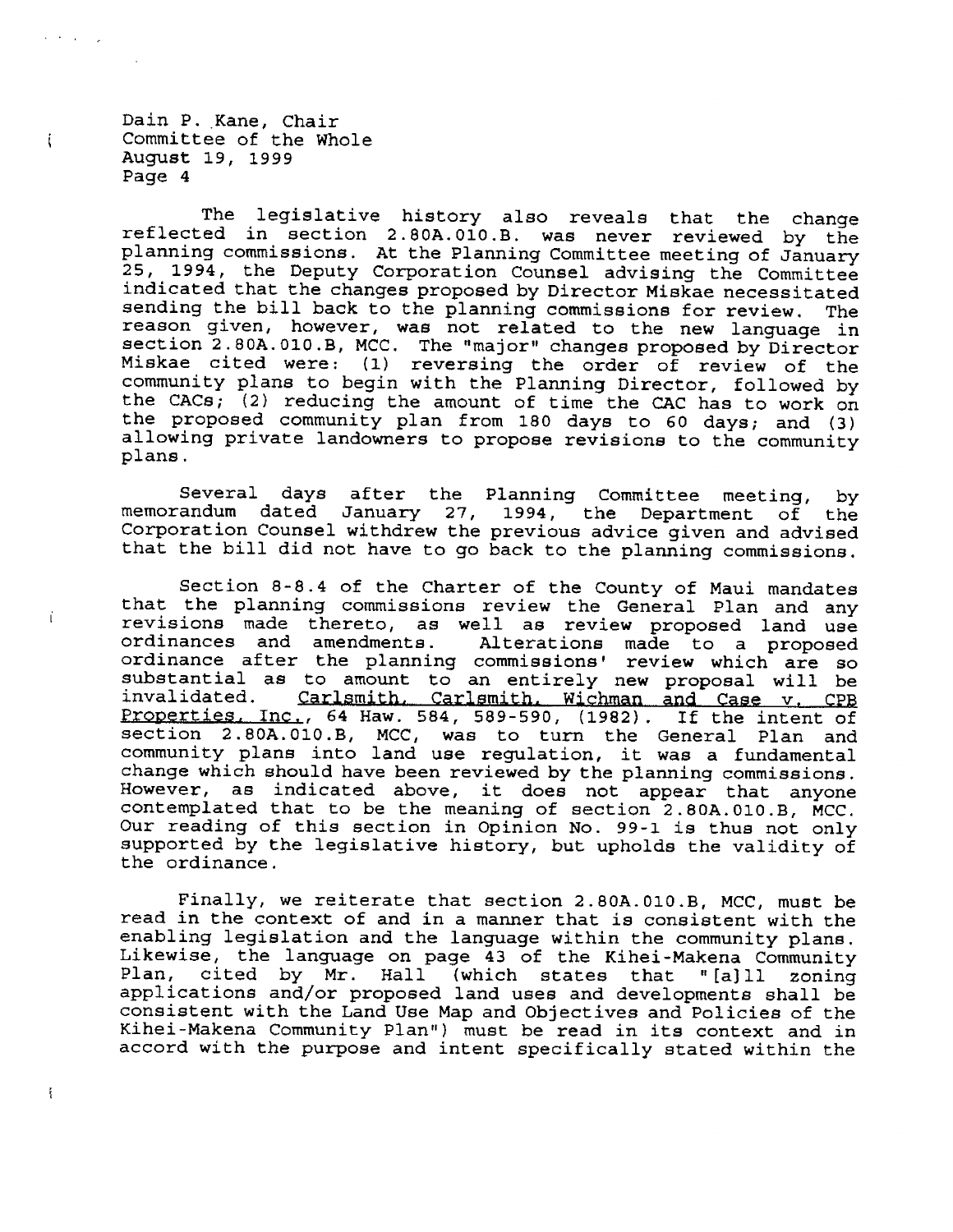Dain P. Kane, Chair Committee of the Whole August 19, 1999 Page 4

ني او او د م

 $\mathbf{i}$ 

ť

 $\ddot{\cdot}$ 

The legislative history also reveals that the change reflected in section 2.80A.010.B. was never reviewed by the planning commissions. At the Planning Committee meeting of January 25, 1994, the Deputy Corporation Counsel advising the Committee indicated that the changes proposed by Director Miskae necessitated sending the bill back to the planning commissions for review. The reason given, however, was not related to the new language in section 2.80A.010.B, MCC. The "major" changes proposed by Director Miskae cited were: (1) reversing the order of review of the community plans to begin with the Planning Director, followed by the CACs; (2) reducing the amount of time the CAC has to work on the proposed community plan from 180 days to 60 days; and (3) allowing private landowners to propose revisions to the community plans.

Several days after the Planning Committee meeting,  $by$ memorandum dated January 27, 1994, the Department of the Corporation Counsel withdrew the previous advice given and advised that the bill did not have to go back to the planning commissions.

Section 8-8.4 of the Charter of the County of Maui mandates that the planning commissions review the General Plan and any revisions made thereto, as well as review proposed land use<br>ordinances and amendments. Alterations made to a proposed ordinance after the planning commissions' review which are so substantial as to amount to an entirely new proposal will be invalidated. Carlsmith, Carlsmith, Wichman and Case v. CPB<br>Properties, Inc., 64 Haw. 584, 589-590, (1982). If the intent of section 2.80A.010.B, MCC, was to turn the General Plan and community plans into land use regulation, it was a fundamental change which should have been reviewed by the planning commissions. However, as indicated above, it does not appear that anyone contemplated that to be the meaning of section 2.80A.010.B, MCC. Our reading of this section in Opinion No. 99-1 is thus not only supported by the legislative history, but upholds the validity of the ordinance.

Finally, we reiterate that section 2.80A.010.B, MCC, must be read in the context of and in a manner that is consistent with the enabling legislation and the language within the community plans. Likewise, the language on page 43 of the Kihei-Makena Community Plan, cited by Mr. Hall (which states that  $" [a] 11$ zoning applications and/or proposed land uses and developments shall be consistent with the Land Use Map and Objectives and Policies of the Kihei-Makena Community Plan") must be read in its context and in accord with the purpose and intent specifically stated within the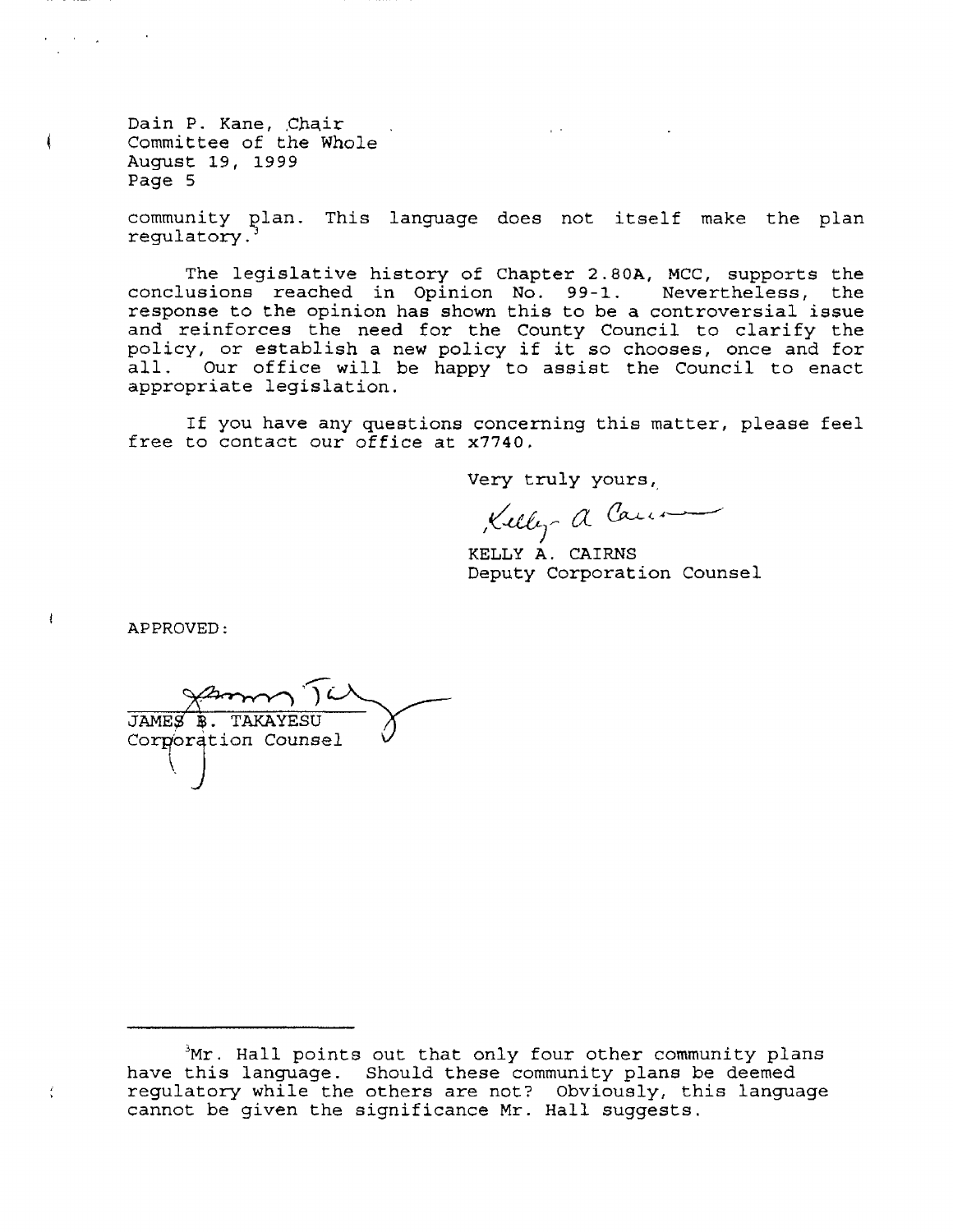Dain P. Kane, Chair Committee of the Whole August L9, 1999 Page <sup>5</sup>

ŧ

 $\mathbf{I}$ 

community plan. This language does not itself make the plan regulatory.

The legislative history of Chapter 2.80A, MCC, supports the conclusions reached in Opinion No. 99-1. Nevertheless, the response to the opinion has shown this to be a controversial issue and reinforces the need for the County Council to clarify the policy, or establish a new policy if it so chooses, once and for all. Our office will be happy to assist the Council to enact appropriate legislation.

If you have any questions concerning this matter, please feel free to contact our office at x7740.

Very truly yours,

Kelly a Canon

KELLY A. CAIRNS Deputy Corporation Counsel

APPROVED:

Corporation Counsel JAMES **B. TAKAYESU** 

 $Mr$ . Hall points out that only four other community plans have this language. Should these community plans be deemed have this language. Should these community plans be deemed<br>regulatory while the others are not? Obviously, this language reguinter, while the send of her. extremely, or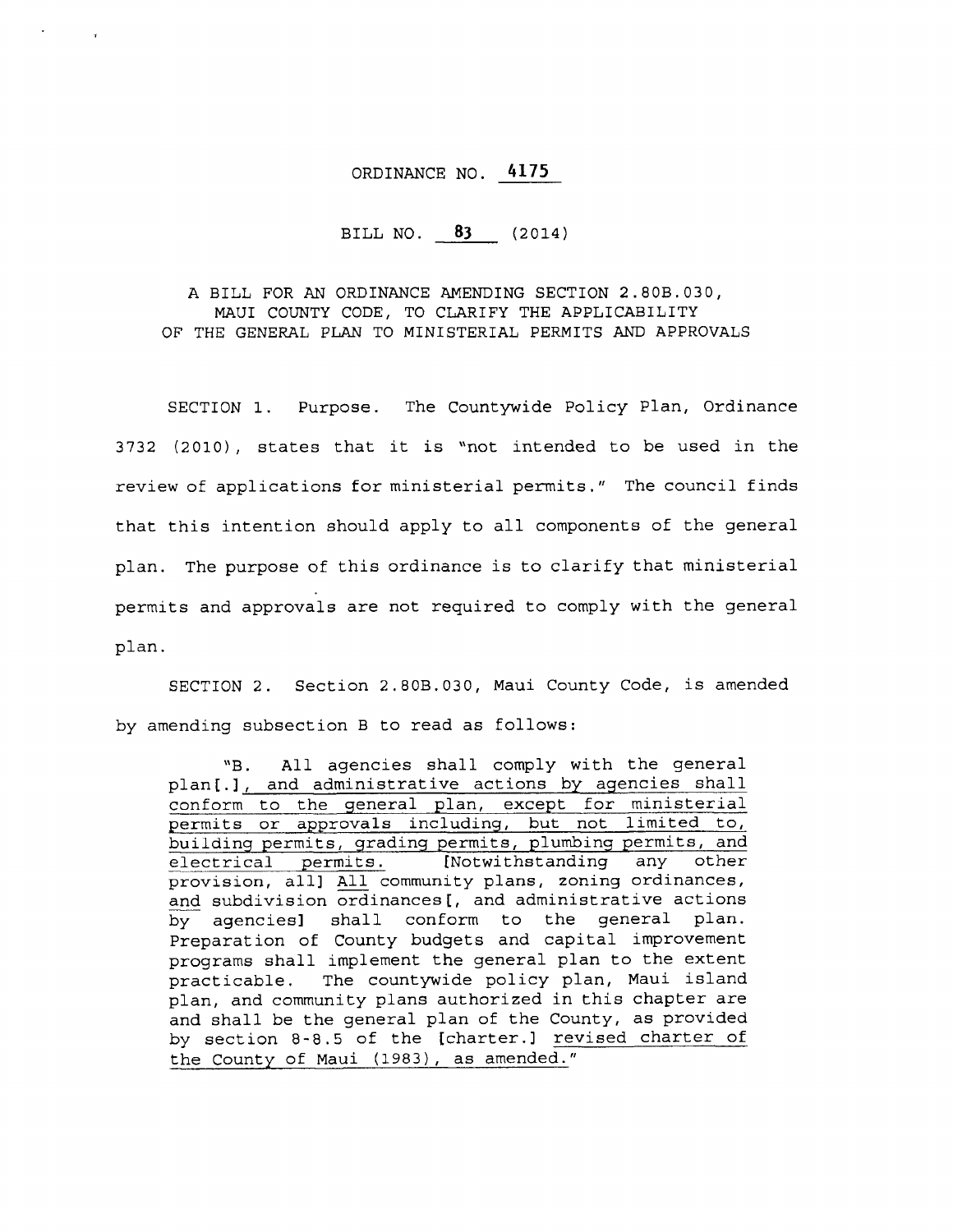# oRDTNANCE NO. 4L75

# BILL NO. 83 (2014)

A BILI, FOR AN ORDINANCE AMENDING SECTION 2.808.030, MAUI COUNTY CODE, TO CLARIFY THE APPLICABILITY OF THE GENERAL PLAN TO MINISTERIAL PERMITS AND APPROVALS

SECTION 1. Purpose. The Countywide Policy P1an, Ordinance  $3732$  (2010), states that it is "not intended to be used in the review of applications for ministerial permits. " The council finds that this intention should apply to all components of the general plan. The purpose of this ordinance is to clarify that ministerial permits and approvals are not required to comply with the general pIan.

SECTION 2. Section 2.80B.030, Maui County Code, is amended by amending subsection B to read as follows:

"B. All agencies shall comply with the general plan[.], and administrative actions by agencies shall conform to the general plan, except for ministerial permits or approvals including, but not limited to, building permits, grading permits, plumbing permits, and<br>electrical permits. [Notwithstanding any other electrical permits. provision, all] All community plans, zoning ordinances, and subdivision ordinances [, and administrative actions by agenciesl shall conform to the general plan. Preparation of County budgets and capital improvement programs shall implement. the general plan to the extent practicable. The countywide policy plan, Maui island plan, and community plans authorized in this chapter are and shall be the general plan of the County, as provided by section  $8-8.5$  of the [charter.] revised charter of the County of Maui (1983), as amended."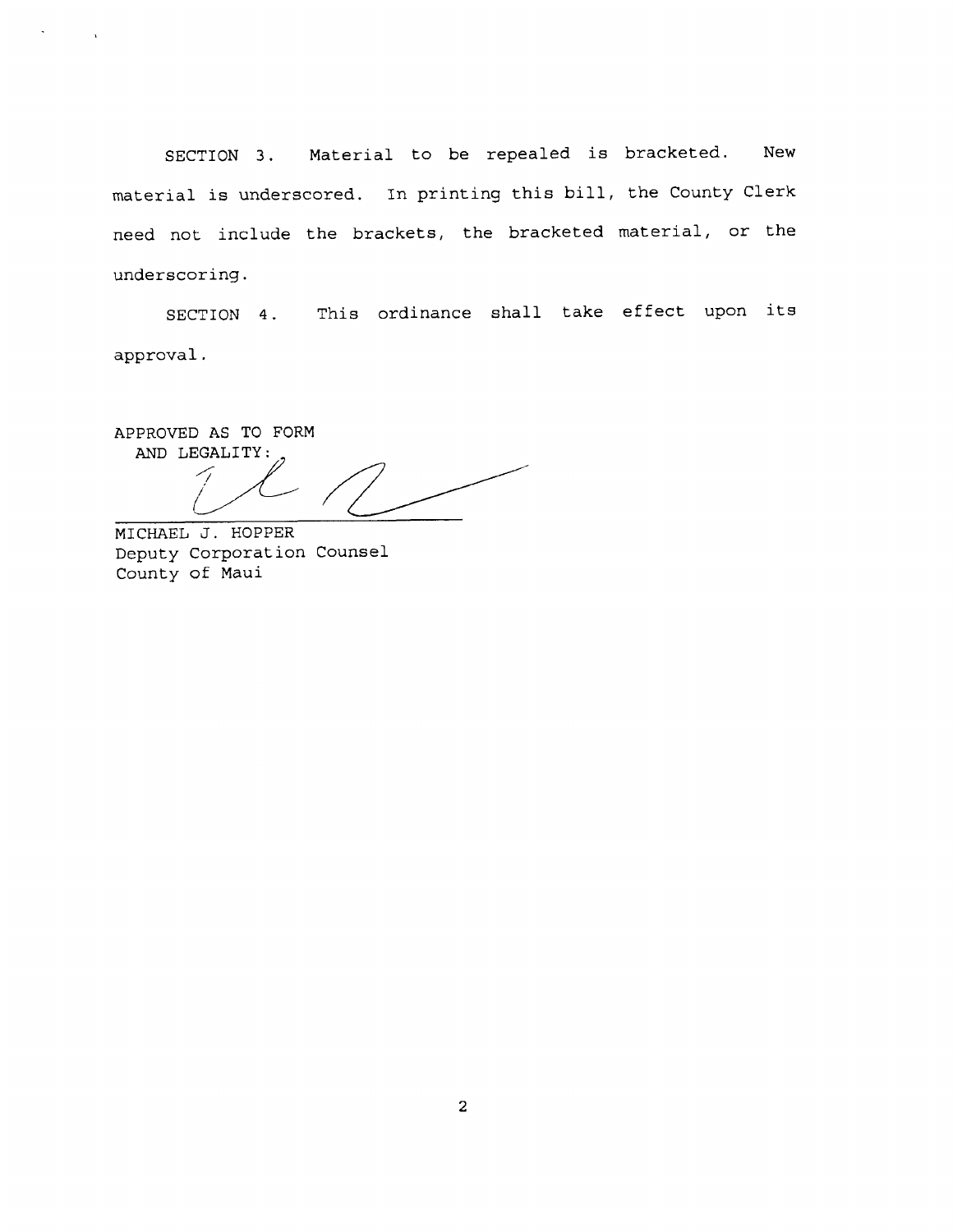SECTION 3. Material to be repealed is bracketed. New material is underscored. In printing this bill, the County Clerk need not include the brackets, the bracketed material, or the underscoring.

SECTION 4. This ordinance shall take effect upon its approval.

APPROVED AS TO FORM AND LEGALITY:

MICHAEL J. HOPPER Deputy Corporation Counsel County of Maui

 $\lambda$